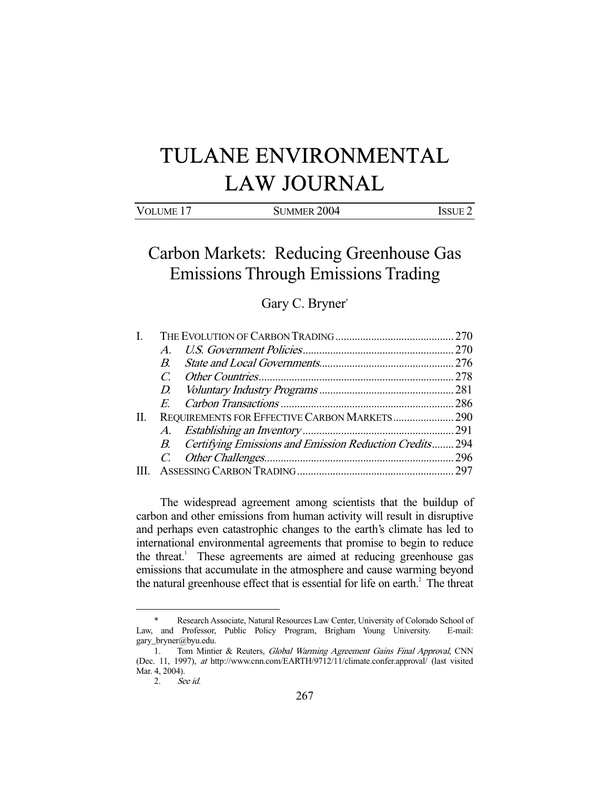# TULANE ENVIRONMENTAL LAW JOURNAL

# Carbon Markets: Reducing Greenhouse Gas Emissions Through Emissions Trading

## Gary C. Bryner\*

| REQUIREMENTS FOR EFFECTIVE CARBON MARKETS 290              |
|------------------------------------------------------------|
|                                                            |
| B. Certifying Emissions and Emission Reduction Credits 294 |
|                                                            |
|                                                            |
|                                                            |

 The widespread agreement among scientists that the buildup of carbon and other emissions from human activity will result in disruptive and perhaps even catastrophic changes to the earth's climate has led to international environmental agreements that promise to begin to reduce the threat.<sup>1</sup> These agreements are aimed at reducing greenhouse gas emissions that accumulate in the atmosphere and cause warming beyond the natural greenhouse effect that is essential for life on earth.<sup>2</sup> The threat

<sup>-</sup> \* Research Associate, Natural Resources Law Center, University of Colorado School of Law, and Professor, Public Policy Program, Brigham Young University. E-mail: gary\_bryner@byu.edu.

<sup>1.</sup> Tom Mintier & Reuters, Global Warming Agreement Gains Final Approval, CNN (Dec. 11, 1997), at http://www.cnn.com/EARTH/9712/11/climate.confer.approval/ (last visited Mar. 4, 2004).<br>2. Set

See id.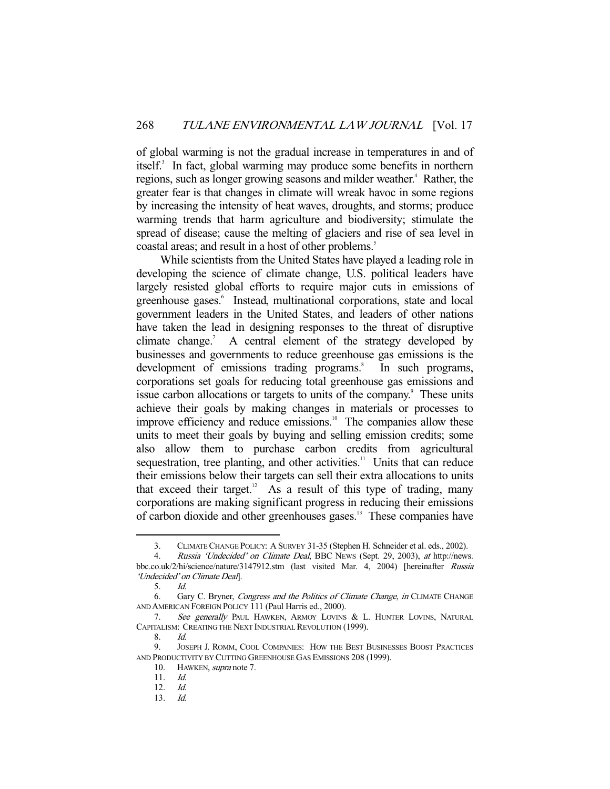of global warming is not the gradual increase in temperatures in and of itself.<sup>3</sup> In fact, global warming may produce some benefits in northern regions, such as longer growing seasons and milder weather.<sup>4</sup> Rather, the greater fear is that changes in climate will wreak havoc in some regions by increasing the intensity of heat waves, droughts, and storms; produce warming trends that harm agriculture and biodiversity; stimulate the spread of disease; cause the melting of glaciers and rise of sea level in coastal areas; and result in a host of other problems.<sup>5</sup>

 While scientists from the United States have played a leading role in developing the science of climate change, U.S. political leaders have largely resisted global efforts to require major cuts in emissions of greenhouse gases.<sup>6</sup> Instead, multinational corporations, state and local government leaders in the United States, and leaders of other nations have taken the lead in designing responses to the threat of disruptive climate change. $<sup>7</sup>$ </sup> A central element of the strategy developed by businesses and governments to reduce greenhouse gas emissions is the development of emissions trading programs.<sup>8</sup> In such programs, corporations set goals for reducing total greenhouse gas emissions and issue carbon allocations or targets to units of the company.<sup>9</sup> These units achieve their goals by making changes in materials or processes to improve efficiency and reduce emissions.<sup>10</sup> The companies allow these units to meet their goals by buying and selling emission credits; some also allow them to purchase carbon credits from agricultural sequestration, tree planting, and other activities.<sup>11</sup> Units that can reduce their emissions below their targets can sell their extra allocations to units that exceed their target.<sup>12</sup> As a result of this type of trading, many corporations are making significant progress in reducing their emissions of carbon dioxide and other greenhouses gases.13 These companies have

 <sup>3.</sup> CLIMATE CHANGE POLICY: A SURVEY 31-35 (Stephen H. Schneider et al. eds., 2002).

<sup>4.</sup> Russia 'Undecided' on Climate Deal, BBC NEWS (Sept. 29, 2003), at http://news. bbc.co.uk/2/hi/science/nature/3147912.stm (last visited Mar. 4, 2004) [hereinafter Russia 'Undecided' on Climate Deal].

 <sup>5.</sup> Id.

<sup>6.</sup> Gary C. Bryner, Congress and the Politics of Climate Change, in CLIMATE CHANGE AND AMERICAN FOREIGN POLICY 111 (Paul Harris ed., 2000).

<sup>7.</sup> See generally PAUL HAWKEN, ARMOY LOVINS & L. HUNTER LOVINS, NATURAL CAPITALISM: CREATING THE NEXT INDUSTRIAL REVOLUTION (1999).

 <sup>8.</sup> Id.

 <sup>9.</sup> JOSEPH J. ROMM, COOL COMPANIES: HOW THE BEST BUSINESSES BOOST PRACTICES AND PRODUCTIVITY BY CUTTING GREENHOUSE GAS EMISSIONS 208 (1999).

<sup>10.</sup> HAWKEN, *supra* note 7.

 <sup>11.</sup> Id.

 <sup>12.</sup> Id.

 <sup>13.</sup> Id.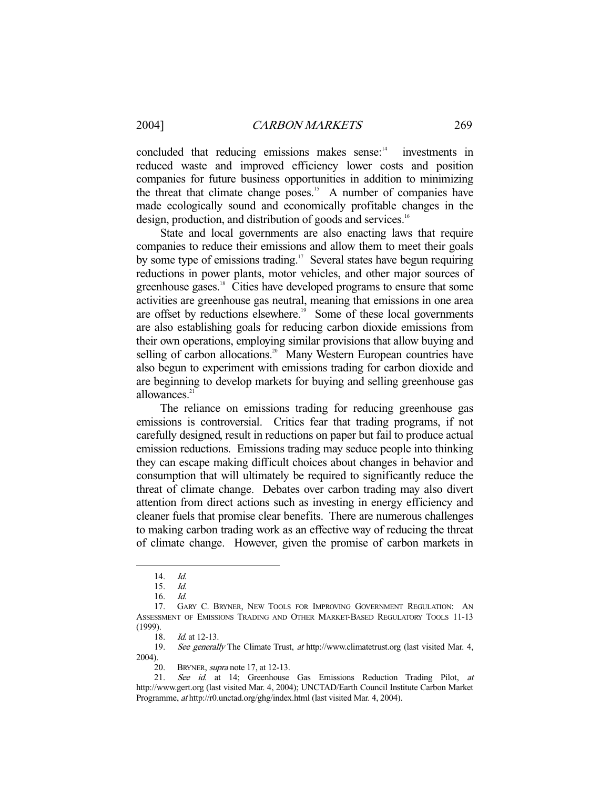concluded that reducing emissions makes sense:<sup>14</sup> investments in reduced waste and improved efficiency lower costs and position companies for future business opportunities in addition to minimizing the threat that climate change poses.<sup>15</sup> A number of companies have made ecologically sound and economically profitable changes in the design, production, and distribution of goods and services.<sup>16</sup>

 State and local governments are also enacting laws that require companies to reduce their emissions and allow them to meet their goals by some type of emissions trading.<sup>17</sup> Several states have begun requiring reductions in power plants, motor vehicles, and other major sources of greenhouse gases.<sup>18</sup> Cities have developed programs to ensure that some activities are greenhouse gas neutral, meaning that emissions in one area are offset by reductions elsewhere.<sup>19</sup> Some of these local governments are also establishing goals for reducing carbon dioxide emissions from their own operations, employing similar provisions that allow buying and selling of carbon allocations.<sup>20</sup> Many Western European countries have also begun to experiment with emissions trading for carbon dioxide and are beginning to develop markets for buying and selling greenhouse gas allowances.<sup>21</sup>

 The reliance on emissions trading for reducing greenhouse gas emissions is controversial. Critics fear that trading programs, if not carefully designed, result in reductions on paper but fail to produce actual emission reductions. Emissions trading may seduce people into thinking they can escape making difficult choices about changes in behavior and consumption that will ultimately be required to significantly reduce the threat of climate change. Debates over carbon trading may also divert attention from direct actions such as investing in energy efficiency and cleaner fuels that promise clear benefits. There are numerous challenges to making carbon trading work as an effective way of reducing the threat of climate change. However, given the promise of carbon markets in

 <sup>14.</sup> Id.

 <sup>15.</sup> Id.

 <sup>16.</sup> Id.

 <sup>17.</sup> GARY C. BRYNER, NEW TOOLS FOR IMPROVING GOVERNMENT REGULATION: AN ASSESSMENT OF EMISSIONS TRADING AND OTHER MARKET-BASED REGULATORY TOOLS 11-13 (1999).

<sup>18.</sup> *Id.* at 12-13.

 <sup>19.</sup> See generally The Climate Trust, at http://www.climatetrust.org (last visited Mar. 4, 2004).

<sup>20.</sup> BRYNER, *supra* note 17, at 12-13.

 <sup>21.</sup> See id. at 14; Greenhouse Gas Emissions Reduction Trading Pilot, at http://www.gert.org (last visited Mar. 4, 2004); UNCTAD/Earth Council Institute Carbon Market Programme, at http://r0.unctad.org/ghg/index.html (last visited Mar. 4, 2004).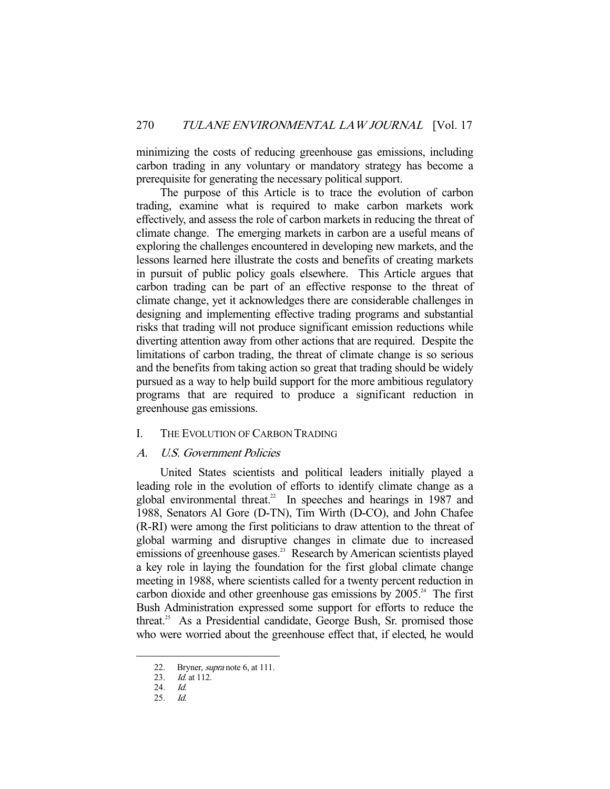minimizing the costs of reducing greenhouse gas emissions, including carbon trading in any voluntary or mandatory strategy has become a prerequisite for generating the necessary political support.

 The purpose of this Article is to trace the evolution of carbon trading, examine what is required to make carbon markets work effectively, and assess the role of carbon markets in reducing the threat of climate change. The emerging markets in carbon are a useful means of exploring the challenges encountered in developing new markets, and the lessons learned here illustrate the costs and benefits of creating markets in pursuit of public policy goals elsewhere. This Article argues that carbon trading can be part of an effective response to the threat of climate change, yet it acknowledges there are considerable challenges in designing and implementing effective trading programs and substantial risks that trading will not produce significant emission reductions while diverting attention away from other actions that are required. Despite the limitations of carbon trading, the threat of climate change is so serious and the benefits from taking action so great that trading should be widely pursued as a way to help build support for the more ambitious regulatory programs that are required to produce a significant reduction in greenhouse gas emissions.

#### I. THE EVOLUTION OF CARBON TRADING

#### A. U.S. Government Policies

 United States scientists and political leaders initially played a leading role in the evolution of efforts to identify climate change as a global environmental threat.<sup>22</sup> In speeches and hearings in 1987 and 1988, Senators Al Gore (D-TN), Tim Wirth (D-CO), and John Chafee (R-RI) were among the first politicians to draw attention to the threat of global warming and disruptive changes in climate due to increased emissions of greenhouse gases.<sup>23</sup> Research by American scientists played a key role in laying the foundation for the first global climate change meeting in 1988, where scientists called for a twenty percent reduction in carbon dioxide and other greenhouse gas emissions by  $2005<sup>24</sup>$ . The first Bush Administration expressed some support for efforts to reduce the threat.25 As a Presidential candidate, George Bush, Sr. promised those who were worried about the greenhouse effect that, if elected, he would

 <sup>22.</sup> Bryner, supra note 6, at 111.

<sup>23.</sup> *Id.* at 112.

<sup>24.</sup> *Id.*<br>25. *Id.* 

 $Id.$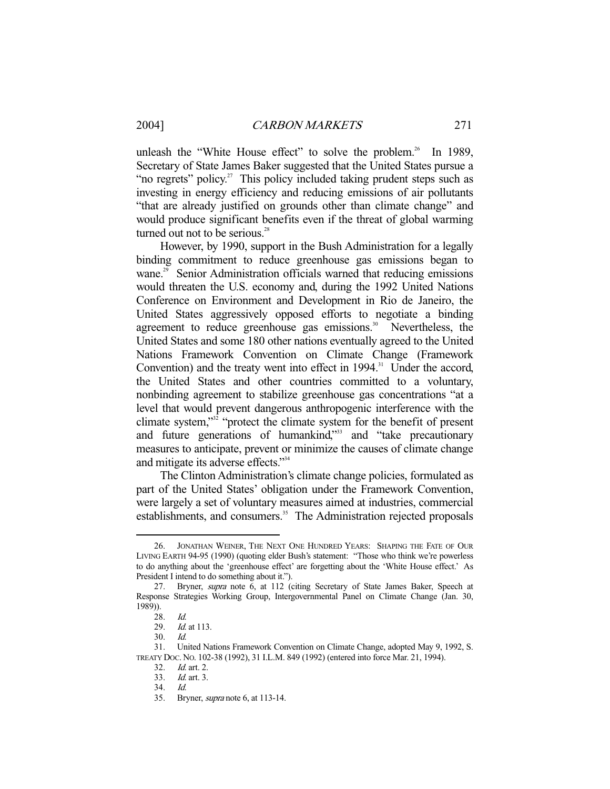unleash the "White House effect" to solve the problem.<sup>26</sup> In 1989, Secretary of State James Baker suggested that the United States pursue a "no regrets" policy.<sup>27</sup> This policy included taking prudent steps such as investing in energy efficiency and reducing emissions of air pollutants "that are already justified on grounds other than climate change" and would produce significant benefits even if the threat of global warming turned out not to be serious. $28$ 

 However, by 1990, support in the Bush Administration for a legally binding commitment to reduce greenhouse gas emissions began to wane.<sup>29</sup> Senior Administration officials warned that reducing emissions would threaten the U.S. economy and, during the 1992 United Nations Conference on Environment and Development in Rio de Janeiro, the United States aggressively opposed efforts to negotiate a binding agreement to reduce greenhouse gas emissions.<sup>30</sup> Nevertheless, the United States and some 180 other nations eventually agreed to the United Nations Framework Convention on Climate Change (Framework Convention) and the treaty went into effect in  $1994$ .<sup>31</sup> Under the accord, the United States and other countries committed to a voluntary, nonbinding agreement to stabilize greenhouse gas concentrations "at a level that would prevent dangerous anthropogenic interference with the climate system,"32 "protect the climate system for the benefit of present and future generations of humankind,"<sup>33</sup> and "take precautionary measures to anticipate, prevent or minimize the causes of climate change and mitigate its adverse effects."34

 The Clinton Administration's climate change policies, formulated as part of the United States' obligation under the Framework Convention, were largely a set of voluntary measures aimed at industries, commercial establishments, and consumers.<sup>35</sup> The Administration rejected proposals

 <sup>26.</sup> JONATHAN WEINER, THE NEXT ONE HUNDRED YEARS: SHAPING THE FATE OF OUR LIVING EARTH 94-95 (1990) (quoting elder Bush's statement: "Those who think we're powerless to do anything about the 'greenhouse effect' are forgetting about the 'White House effect.' As President I intend to do something about it.").

 <sup>27.</sup> Bryner, supra note 6, at 112 (citing Secretary of State James Baker, Speech at Response Strategies Working Group, Intergovernmental Panel on Climate Change (Jan. 30, 1989)).

<sup>28.</sup> *Id.*<br>29. *Id.* 

 $Id.$  at 113.

 <sup>30.</sup> Id.

 <sup>31.</sup> United Nations Framework Convention on Climate Change, adopted May 9, 1992, S. TREATY DOC. NO. 102-38 (1992), 31 I.L.M. 849 (1992) (entered into force Mar. 21, 1994).

 <sup>32.</sup> Id. art. 2.

 <sup>33.</sup> Id. art. 3.

 <sup>34.</sup> Id.

 <sup>35.</sup> Bryner, supra note 6, at 113-14.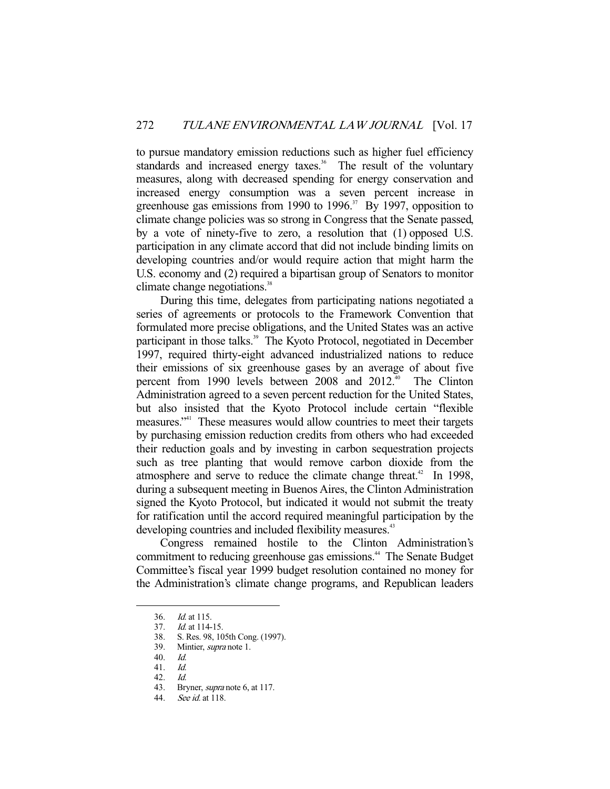to pursue mandatory emission reductions such as higher fuel efficiency standards and increased energy taxes.<sup>36</sup> The result of the voluntary measures, along with decreased spending for energy conservation and increased energy consumption was a seven percent increase in greenhouse gas emissions from 1990 to 1996.<sup>37</sup> By 1997, opposition to climate change policies was so strong in Congress that the Senate passed, by a vote of ninety-five to zero, a resolution that (1) opposed U.S. participation in any climate accord that did not include binding limits on developing countries and/or would require action that might harm the U.S. economy and (2) required a bipartisan group of Senators to monitor climate change negotiations.<sup>38</sup>

 During this time, delegates from participating nations negotiated a series of agreements or protocols to the Framework Convention that formulated more precise obligations, and the United States was an active participant in those talks.<sup>39</sup> The Kyoto Protocol, negotiated in December 1997, required thirty-eight advanced industrialized nations to reduce their emissions of six greenhouse gases by an average of about five percent from 1990 levels between 2008 and 2012.<sup>40</sup> The Clinton Administration agreed to a seven percent reduction for the United States, but also insisted that the Kyoto Protocol include certain "flexible measures."41 These measures would allow countries to meet their targets by purchasing emission reduction credits from others who had exceeded their reduction goals and by investing in carbon sequestration projects such as tree planting that would remove carbon dioxide from the atmosphere and serve to reduce the climate change threat.<sup>42</sup> In 1998, during a subsequent meeting in Buenos Aires, the Clinton Administration signed the Kyoto Protocol, but indicated it would not submit the treaty for ratification until the accord required meaningful participation by the developing countries and included flexibility measures.<sup>43</sup>

 Congress remained hostile to the Clinton Administration's commitment to reducing greenhouse gas emissions.<sup>44</sup> The Senate Budget Committee's fiscal year 1999 budget resolution contained no money for the Administration's climate change programs, and Republican leaders

<sup>36.</sup> *Id.* at 115.<br>37. *Id.* at 114-*Id.* at 114-15.

 <sup>38.</sup> S. Res. 98, 105th Cong. (1997).

 <sup>39.</sup> Mintier, supra note 1.

 <sup>40.</sup> Id.

 <sup>41.</sup> Id.

 <sup>42.</sup> Id.

<sup>43.</sup> Bryner, *supra* note 6, at 117.

 <sup>44.</sup> See id. at 118.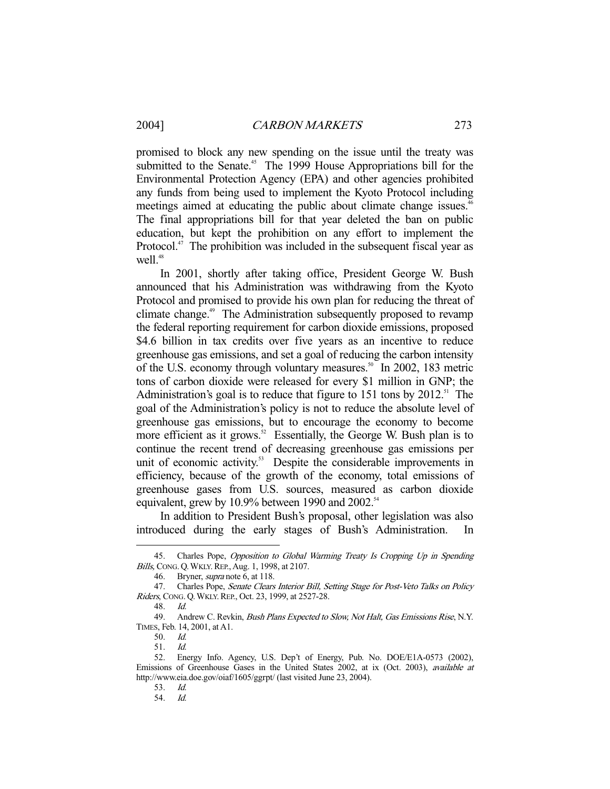promised to block any new spending on the issue until the treaty was submitted to the Senate.<sup>45</sup> The 1999 House Appropriations bill for the Environmental Protection Agency (EPA) and other agencies prohibited any funds from being used to implement the Kyoto Protocol including meetings aimed at educating the public about climate change issues.<sup>46</sup> The final appropriations bill for that year deleted the ban on public education, but kept the prohibition on any effort to implement the Protocol. $47$  The prohibition was included in the subsequent fiscal year as well. $48$ 

 In 2001, shortly after taking office, President George W. Bush announced that his Administration was withdrawing from the Kyoto Protocol and promised to provide his own plan for reducing the threat of climate change.<sup>49</sup> The Administration subsequently proposed to revamp the federal reporting requirement for carbon dioxide emissions, proposed \$4.6 billion in tax credits over five years as an incentive to reduce greenhouse gas emissions, and set a goal of reducing the carbon intensity of the U.S. economy through voluntary measures.<sup>50</sup> In 2002, 183 metric tons of carbon dioxide were released for every \$1 million in GNP; the Administration's goal is to reduce that figure to  $151$  tons by  $2012$ .<sup>51</sup> The goal of the Administration's policy is not to reduce the absolute level of greenhouse gas emissions, but to encourage the economy to become more efficient as it grows.<sup>52</sup> Essentially, the George W. Bush plan is to continue the recent trend of decreasing greenhouse gas emissions per unit of economic activity.<sup>53</sup> Despite the considerable improvements in efficiency, because of the growth of the economy, total emissions of greenhouse gases from U.S. sources, measured as carbon dioxide equivalent, grew by 10.9% between 1990 and 2002. $54$ 

 In addition to President Bush's proposal, other legislation was also introduced during the early stages of Bush's Administration. In

<sup>45.</sup> Charles Pope, Opposition to Global Warming Treaty Is Cropping Up in Spending Bills, CONG. Q. WKLY. REP., Aug. 1, 1998, at 2107.

 <sup>46.</sup> Bryner, supra note 6, at 118.

<sup>47.</sup> Charles Pope, Senate Clears Interior Bill, Setting Stage for Post-Veto Talks on Policy Riders, CONG. Q. WKLY. REP., Oct. 23, 1999, at 2527-28.

 <sup>48.</sup> Id.

<sup>49.</sup> Andrew C. Revkin, *Bush Plans Expected to Slow, Not Halt, Gas Emissions Rise*, N.Y. TIMES, Feb. 14, 2001, at A1.

 <sup>50.</sup> Id.

 <sup>51.</sup> Id.

 <sup>52.</sup> Energy Info. Agency, U.S. Dep't of Energy, Pub. No. DOE/E1A-0573 (2002), Emissions of Greenhouse Gases in the United States 2002, at ix (Oct. 2003), available at http://www.eia.doe.gov/oiaf/1605/ggrpt/ (last visited June 23, 2004).

<sup>53.</sup> *Id.*<br>54. *Id.* 

 <sup>54.</sup> Id.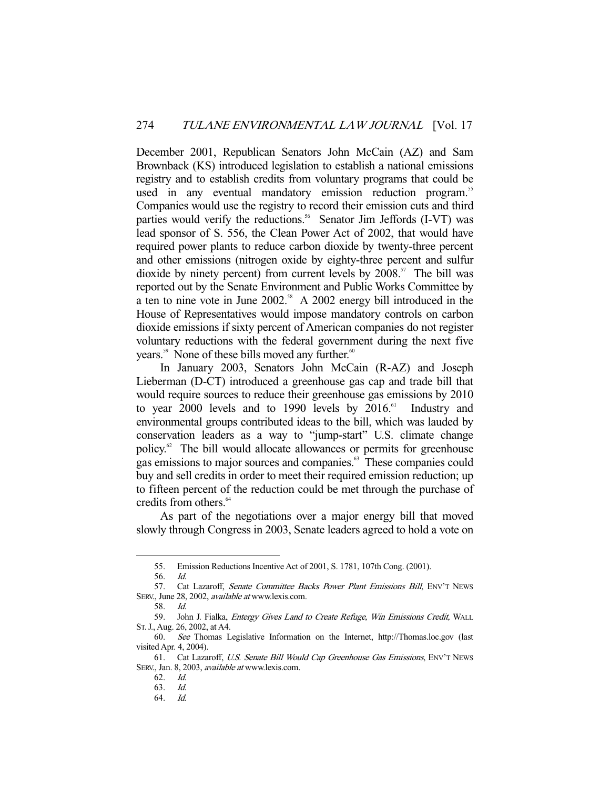December 2001, Republican Senators John McCain (AZ) and Sam Brownback (KS) introduced legislation to establish a national emissions registry and to establish credits from voluntary programs that could be used in any eventual mandatory emission reduction program.<sup>55</sup> Companies would use the registry to record their emission cuts and third parties would verify the reductions.<sup>56</sup> Senator Jim Jeffords (I-VT) was lead sponsor of S. 556, the Clean Power Act of 2002, that would have required power plants to reduce carbon dioxide by twenty-three percent and other emissions (nitrogen oxide by eighty-three percent and sulfur dioxide by ninety percent) from current levels by  $2008$ <sup>57</sup>. The bill was reported out by the Senate Environment and Public Works Committee by a ten to nine vote in June 2002.<sup>58</sup> A 2002 energy bill introduced in the House of Representatives would impose mandatory controls on carbon dioxide emissions if sixty percent of American companies do not register voluntary reductions with the federal government during the next five years.<sup>59</sup> None of these bills moved any further.<sup>60</sup>

 In January 2003, Senators John McCain (R-AZ) and Joseph Lieberman (D-CT) introduced a greenhouse gas cap and trade bill that would require sources to reduce their greenhouse gas emissions by 2010 to year 2000 levels and to 1990 levels by  $2016<sup>61</sup>$  Industry and environmental groups contributed ideas to the bill, which was lauded by conservation leaders as a way to "jump-start" U.S. climate change policy.62 The bill would allocate allowances or permits for greenhouse gas emissions to major sources and companies.63 These companies could buy and sell credits in order to meet their required emission reduction; up to fifteen percent of the reduction could be met through the purchase of credits from others.<sup>64</sup>

 As part of the negotiations over a major energy bill that moved slowly through Congress in 2003, Senate leaders agreed to hold a vote on

 <sup>55.</sup> Emission Reductions Incentive Act of 2001, S. 1781, 107th Cong. (2001).

 <sup>56.</sup> Id.

<sup>57.</sup> Cat Lazaroff, Senate Committee Backs Power Plant Emissions Bill, ENV'T NEWS SERV., June 28, 2002, *available at* www.lexis.com.

 <sup>58.</sup> Id.

<sup>59.</sup> John J. Fialka, *Entergy Gives Land to Create Refuge, Win Emissions Credit*, WALL ST.J., Aug. 26, 2002, at A4.

 <sup>60.</sup> See Thomas Legislative Information on the Internet, http://Thomas.loc.gov (last visited Apr. 4, 2004).

 <sup>61.</sup> Cat Lazaroff, U.S. Senate Bill Would Cap Greenhouse Gas Emissions, ENV'T NEWS SERV., Jan. 8, 2003, *available at* www.lexis.com.

 <sup>62.</sup> Id.

 <sup>63.</sup> Id.

 <sup>64.</sup> Id.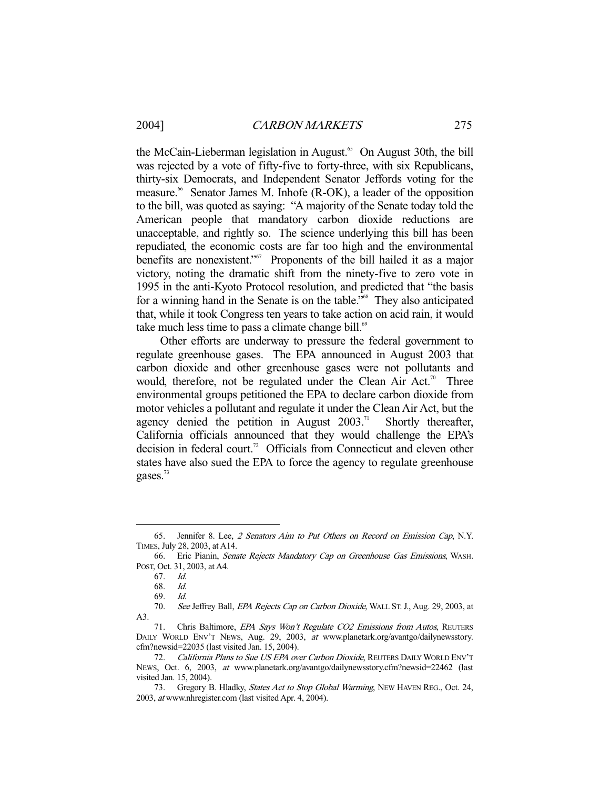the McCain-Lieberman legislation in August.<sup>65</sup> On August 30th, the bill was rejected by a vote of fifty-five to forty-three, with six Republicans, thirty-six Democrats, and Independent Senator Jeffords voting for the measure.<sup>66</sup> Senator James M. Inhofe (R-OK), a leader of the opposition to the bill, was quoted as saying: "A majority of the Senate today told the American people that mandatory carbon dioxide reductions are unacceptable, and rightly so. The science underlying this bill has been repudiated, the economic costs are far too high and the environmental benefits are nonexistent."<sup>67</sup> Proponents of the bill hailed it as a major victory, noting the dramatic shift from the ninety-five to zero vote in 1995 in the anti-Kyoto Protocol resolution, and predicted that "the basis for a winning hand in the Senate is on the table."<sup>68</sup> They also anticipated that, while it took Congress ten years to take action on acid rain, it would take much less time to pass a climate change bill. $69$ 

 Other efforts are underway to pressure the federal government to regulate greenhouse gases. The EPA announced in August 2003 that carbon dioxide and other greenhouse gases were not pollutants and would, therefore, not be regulated under the Clean Air Act.<sup>70</sup> Three environmental groups petitioned the EPA to declare carbon dioxide from motor vehicles a pollutant and regulate it under the Clean Air Act, but the agency denied the petition in August  $2003$ .<sup>71</sup> Shortly thereafter, California officials announced that they would challenge the EPA's decision in federal court.<sup>72</sup> Officials from Connecticut and eleven other states have also sued the EPA to force the agency to regulate greenhouse gases.<sup>73</sup>

<sup>65.</sup> Jennifer 8. Lee, 2 Senators Aim to Put Others on Record on Emission Cap, N.Y. TIMES, July 28, 2003, at A14.

 <sup>66.</sup> Eric Pianin, Senate Rejects Mandatory Cap on Greenhouse Gas Emissions, WASH. POST, Oct. 31, 2003, at A4.

 <sup>67.</sup> Id.

 <sup>68.</sup> Id.

 <sup>69.</sup> Id.

<sup>70.</sup> See Jeffrey Ball, EPA Rejects Cap on Carbon Dioxide, WALL ST. J., Aug. 29, 2003, at A3.

<sup>71.</sup> Chris Baltimore, EPA Says Won't Regulate CO2 Emissions from Autos, REUTERS DAILY WORLD ENV'T NEWS, Aug. 29, 2003, at www.planetark.org/avantgo/dailynewsstory. cfm?newsid=22035 (last visited Jan. 15, 2004).

<sup>72.</sup> California Plans to Sue US EPA over Carbon Dioxide, REUTERS DAILY WORLD ENV'T NEWS, Oct. 6, 2003, at www.planetark.org/avantgo/dailynewsstory.cfm?newsid=22462 (last visited Jan. 15, 2004).

<sup>73.</sup> Gregory B. Hladky, States Act to Stop Global Warming, NEW HAVEN REG., Oct. 24, 2003, at www.nhregister.com (last visited Apr. 4, 2004).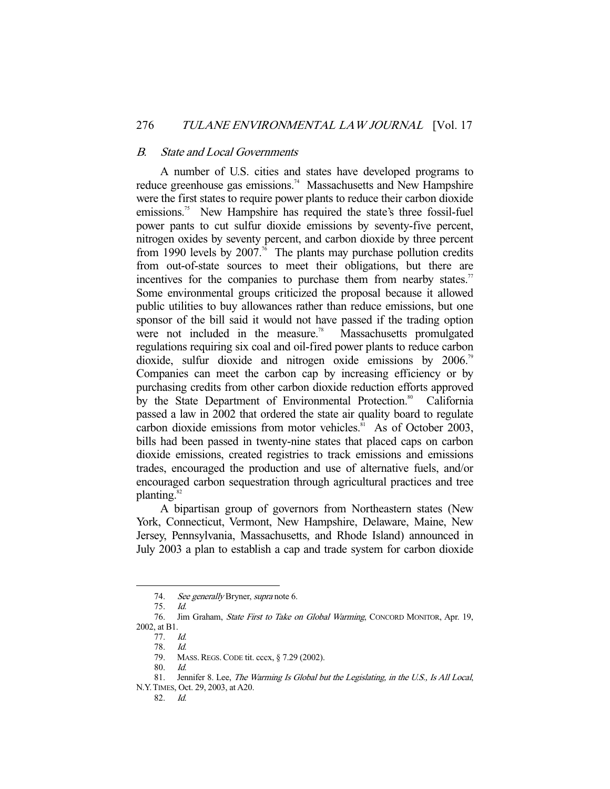#### B. State and Local Governments

 A number of U.S. cities and states have developed programs to reduce greenhouse gas emissions.<sup>74</sup> Massachusetts and New Hampshire were the first states to require power plants to reduce their carbon dioxide emissions.<sup>75</sup> New Hampshire has required the state's three fossil-fuel power pants to cut sulfur dioxide emissions by seventy-five percent, nitrogen oxides by seventy percent, and carbon dioxide by three percent from 1990 levels by 2007.<sup>76</sup> The plants may purchase pollution credits from out-of-state sources to meet their obligations, but there are incentives for the companies to purchase them from nearby states.<sup>77</sup> Some environmental groups criticized the proposal because it allowed public utilities to buy allowances rather than reduce emissions, but one sponsor of the bill said it would not have passed if the trading option were not included in the measure.<sup>78</sup> Massachusetts promulgated regulations requiring six coal and oil-fired power plants to reduce carbon dioxide, sulfur dioxide and nitrogen oxide emissions by 2006.<sup>79</sup> Companies can meet the carbon cap by increasing efficiency or by purchasing credits from other carbon dioxide reduction efforts approved by the State Department of Environmental Protection.<sup>80</sup> California passed a law in 2002 that ordered the state air quality board to regulate carbon dioxide emissions from motor vehicles.<sup>81</sup> As of October 2003, bills had been passed in twenty-nine states that placed caps on carbon dioxide emissions, created registries to track emissions and emissions trades, encouraged the production and use of alternative fuels, and/or encouraged carbon sequestration through agricultural practices and tree planting.<sup>82</sup>

 A bipartisan group of governors from Northeastern states (New York, Connecticut, Vermont, New Hampshire, Delaware, Maine, New Jersey, Pennsylvania, Massachusetts, and Rhode Island) announced in July 2003 a plan to establish a cap and trade system for carbon dioxide

<sup>74.</sup> See generally Bryner, supra note 6.

 <sup>75.</sup> Id.

 <sup>76.</sup> Jim Graham, State First to Take on Global Warming, CONCORD MONITOR, Apr. 19, 2002, at B1.

 <sup>77.</sup> Id.

 <sup>78.</sup> Id.

 <sup>79.</sup> MASS.REGS.CODE tit. cccx, § 7.29 (2002).

 <sup>80.</sup> Id.

<sup>81.</sup> Jennifer 8. Lee, The Warming Is Global but the Legislating, in the U.S., Is All Local, N.Y.TIMES, Oct. 29, 2003, at A20.

 <sup>82.</sup> Id.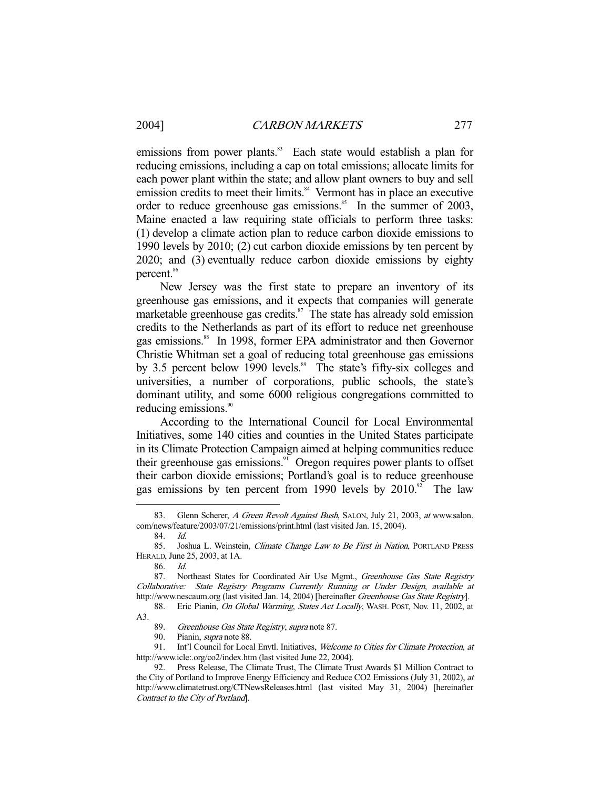emissions from power plants.<sup>83</sup> Each state would establish a plan for reducing emissions, including a cap on total emissions; allocate limits for each power plant within the state; and allow plant owners to buy and sell emission credits to meet their limits.<sup>84</sup> Vermont has in place an executive order to reduce greenhouse gas emissions.<sup>85</sup> In the summer of 2003, Maine enacted a law requiring state officials to perform three tasks: (1) develop a climate action plan to reduce carbon dioxide emissions to 1990 levels by 2010; (2) cut carbon dioxide emissions by ten percent by 2020; and (3) eventually reduce carbon dioxide emissions by eighty percent.<sup>86</sup>

 New Jersey was the first state to prepare an inventory of its greenhouse gas emissions, and it expects that companies will generate marketable greenhouse gas credits. $\mathbf{S}^7$  The state has already sold emission credits to the Netherlands as part of its effort to reduce net greenhouse gas emissions.<sup>88</sup> In 1998, former EPA administrator and then Governor Christie Whitman set a goal of reducing total greenhouse gas emissions by 3.5 percent below 1990 levels.<sup>89</sup> The state's fifty-six colleges and universities, a number of corporations, public schools, the state's dominant utility, and some 6000 religious congregations committed to reducing emissions.<sup>90</sup>

 According to the International Council for Local Environmental Initiatives, some 140 cities and counties in the United States participate in its Climate Protection Campaign aimed at helping communities reduce their greenhouse gas emissions.<sup>91</sup> Oregon requires power plants to offset their carbon dioxide emissions; Portland's goal is to reduce greenhouse gas emissions by ten percent from 1990 levels by  $2010$ .<sup>92</sup> The law

84. Id.

<sup>83.</sup> Glenn Scherer, A Green Revolt Against Bush, SALON, July 21, 2003, at www.salon. com/news/feature/2003/07/21/emissions/print.html (last visited Jan. 15, 2004).

<sup>85.</sup> Joshua L. Weinstein, Climate Change Law to Be First in Nation, PORTLAND PRESS HERALD, June 25, 2003, at 1A.

 <sup>86.</sup> Id.

<sup>87.</sup> Northeast States for Coordinated Air Use Mgmt., Greenhouse Gas State Registry Collaborative: State Registry Programs Currently Running or Under Design, available at http://www.nescaum.org (last visited Jan. 14, 2004) [hereinafter Greenhouse Gas State Registry].

<sup>88.</sup> Eric Pianin, On Global Warming, States Act Locally, WASH. POST, Nov. 11, 2002, at A3.

<sup>89.</sup> Greenhouse Gas State Registry, supra note 87.

<sup>90.</sup> Pianin, *supra* note 88.

<sup>91.</sup> Int'l Council for Local Envtl. Initiatives, Welcome to Cities for Climate Protection, at http://www.icle:.org/co2/index.htm (last visited June 22, 2004).

 <sup>92.</sup> Press Release, The Climate Trust, The Climate Trust Awards \$1 Million Contract to the City of Portland to Improve Energy Efficiency and Reduce CO2 Emissions (July 31, 2002), at http://www.climatetrust.org/CTNewsReleases.html (last visited May 31, 2004) [hereinafter Contract to the City of Portland].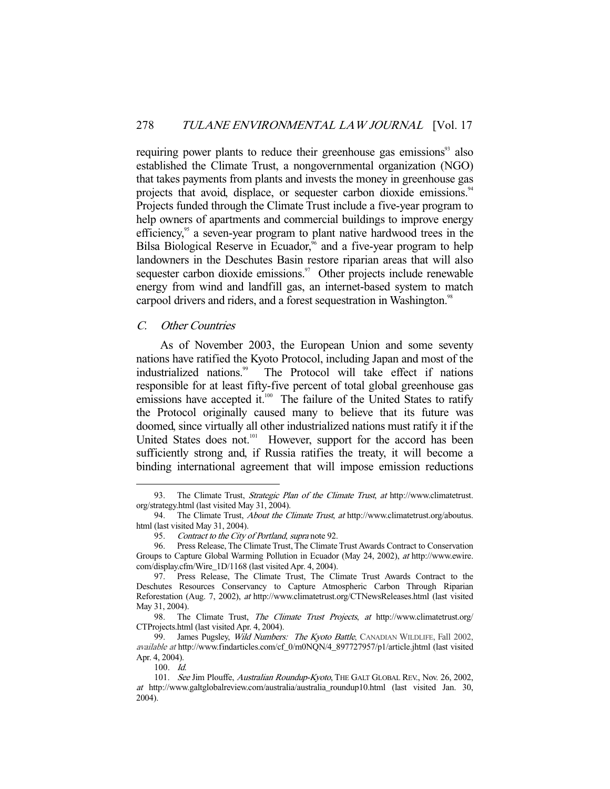requiring power plants to reduce their greenhouse gas emissions<sup>93</sup> also established the Climate Trust, a nongovernmental organization (NGO) that takes payments from plants and invests the money in greenhouse gas projects that avoid, displace, or sequester carbon dioxide emissions.<sup>94</sup> Projects funded through the Climate Trust include a five-year program to help owners of apartments and commercial buildings to improve energy efficiency,<sup>95</sup> a seven-year program to plant native hardwood trees in the Bilsa Biological Reserve in Ecuador,<sup>96</sup> and a five-year program to help landowners in the Deschutes Basin restore riparian areas that will also sequester carbon dioxide emissions. $97$  Other projects include renewable energy from wind and landfill gas, an internet-based system to match carpool drivers and riders, and a forest sequestration in Washington.<sup>98</sup>

### C. Other Countries

 As of November 2003, the European Union and some seventy nations have ratified the Kyoto Protocol, including Japan and most of the industrialized nations.<sup>99</sup> The Protocol will take effect if nations responsible for at least fifty-five percent of total global greenhouse gas emissions have accepted it.<sup>100</sup> The failure of the United States to ratify the Protocol originally caused many to believe that its future was doomed, since virtually all other industrialized nations must ratify it if the United States does not.<sup>101</sup> However, support for the accord has been sufficiently strong and, if Russia ratifies the treaty, it will become a binding international agreement that will impose emission reductions

<sup>93.</sup> The Climate Trust, Strategic Plan of the Climate Trust, at http://www.climatetrust. org/strategy.html (last visited May 31, 2004).<br>94. The Climate Trust, *About the C* 

The Climate Trust, About the Climate Trust, at http://www.climatetrust.org/aboutus. html (last visited May 31, 2004).

<sup>95.</sup> Contract to the City of Portland, supra note 92.

 <sup>96.</sup> Press Release, The Climate Trust, The Climate Trust Awards Contract to Conservation Groups to Capture Global Warming Pollution in Ecuador (May 24, 2002), at http://www.ewire. com/display.cfm/Wire\_1D/1168 (last visited Apr. 4, 2004).

 <sup>97.</sup> Press Release, The Climate Trust, The Climate Trust Awards Contract to the Deschutes Resources Conservancy to Capture Atmospheric Carbon Through Riparian Reforestation (Aug. 7, 2002), at http://www.climatetrust.org/CTNewsReleases.html (last visited May 31, 2004).

<sup>98.</sup> The Climate Trust, The Climate Trust Projects, at http://www.climatetrust.org/ CTProjects.html (last visited Apr. 4, 2004).

<sup>99.</sup> James Pugsley, Wild Numbers: The Kyoto Battle, CANADIAN WILDLIFE, Fall 2002, available at http://www.findarticles.com/cf\_0/m0NQN/4\_897727957/p1/article.jhtml (last visited Apr. 4, 2004).

 <sup>100.</sup> Id.

<sup>101.</sup> See Jim Plouffe, Australian Roundup-Kyoto, THE GALT GLOBAL REV., Nov. 26, 2002, at http://www.galtglobalreview.com/australia/australia\_roundup10.html (last visited Jan. 30, 2004).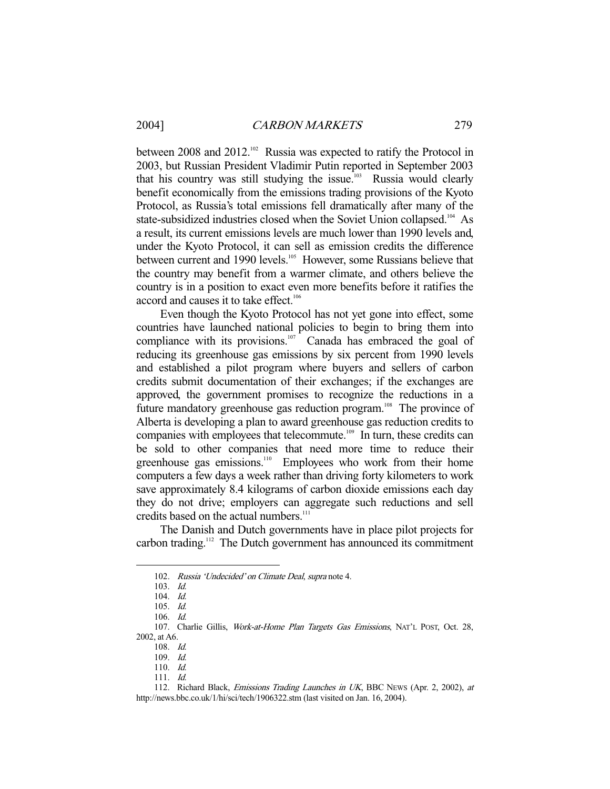between 2008 and 2012.<sup>102</sup> Russia was expected to ratify the Protocol in 2003, but Russian President Vladimir Putin reported in September 2003 that his country was still studying the issue.<sup>103</sup> Russia would clearly benefit economically from the emissions trading provisions of the Kyoto Protocol, as Russia's total emissions fell dramatically after many of the state-subsidized industries closed when the Soviet Union collapsed.<sup>104</sup> As a result, its current emissions levels are much lower than 1990 levels and, under the Kyoto Protocol, it can sell as emission credits the difference between current and 1990 levels.<sup>105</sup> However, some Russians believe that the country may benefit from a warmer climate, and others believe the country is in a position to exact even more benefits before it ratifies the accord and causes it to take effect.<sup>106</sup>

 Even though the Kyoto Protocol has not yet gone into effect, some countries have launched national policies to begin to bring them into compliance with its provisions.<sup>107</sup> Canada has embraced the goal of reducing its greenhouse gas emissions by six percent from 1990 levels and established a pilot program where buyers and sellers of carbon credits submit documentation of their exchanges; if the exchanges are approved, the government promises to recognize the reductions in a future mandatory greenhouse gas reduction program.<sup>108</sup> The province of Alberta is developing a plan to award greenhouse gas reduction credits to companies with employees that telecommute.<sup>109</sup> In turn, these credits can be sold to other companies that need more time to reduce their greenhouse gas emissions.<sup>110</sup> Employees who work from their home computers a few days a week rather than driving forty kilometers to work save approximately 8.4 kilograms of carbon dioxide emissions each day they do not drive; employers can aggregate such reductions and sell credits based on the actual numbers.<sup>111</sup>

 The Danish and Dutch governments have in place pilot projects for carbon trading.112 The Dutch government has announced its commitment

-

110. Id.

 <sup>102.</sup> Russia 'Undecided' on Climate Deal, supra note 4.

 <sup>103.</sup> Id.

 <sup>104.</sup> Id.

 <sup>105.</sup> Id.

 <sup>106.</sup> Id.

 <sup>107.</sup> Charlie Gillis, Work-at-Home Plan Targets Gas Emissions, NAT'L POST, Oct. 28, 2002, at A6.

 <sup>108.</sup> Id.

 <sup>109.</sup> Id.

 <sup>111.</sup> Id.

<sup>112.</sup> Richard Black, Emissions Trading Launches in UK, BBC News (Apr. 2, 2002), at http://news.bbc.co.uk/1/hi/sci/tech/1906322.stm (last visited on Jan. 16, 2004).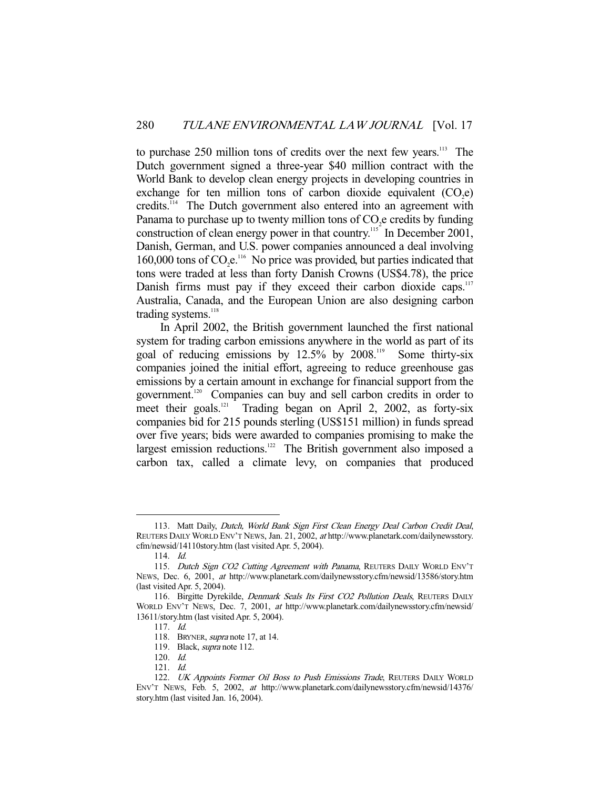to purchase 250 million tons of credits over the next few years.113 The Dutch government signed a three-year \$40 million contract with the World Bank to develop clean energy projects in developing countries in exchange for ten million tons of carbon dioxide equivalent  $(CO<sub>2</sub>e)$ credits.114 The Dutch government also entered into an agreement with Panama to purchase up to twenty million tons of  $CO<sub>2</sub>e$  credits by funding construction of clean energy power in that country.<sup>115</sup> In December 2001, Danish, German, and U.S. power companies announced a deal involving 160,000 tons of  $CO<sub>2</sub>e<sup>116</sup>$ . No price was provided, but parties indicated that tons were traded at less than forty Danish Crowns (US\$4.78), the price Danish firms must pay if they exceed their carbon dioxide caps.<sup>117</sup> Australia, Canada, and the European Union are also designing carbon trading systems.<sup>118</sup>

 In April 2002, the British government launched the first national system for trading carbon emissions anywhere in the world as part of its goal of reducing emissions by  $12.5\%$  by  $2008$ .<sup>119</sup> Some thirty-six companies joined the initial effort, agreeing to reduce greenhouse gas emissions by a certain amount in exchange for financial support from the government.<sup>120</sup> Companies can buy and sell carbon credits in order to meet their goals.<sup>121</sup> Trading began on April 2, 2002, as forty-six companies bid for 215 pounds sterling (US\$151 million) in funds spread over five years; bids were awarded to companies promising to make the largest emission reductions. $122$  The British government also imposed a carbon tax, called a climate levy, on companies that produced

<sup>113.</sup> Matt Daily, Dutch, World Bank Sign First Clean Energy Deal Carbon Credit Deal, REUTERS DAILY WORLD ENV'T NEWS, Jan. 21, 2002, at http://www.planetark.com/dailynewsstory. cfm/newsid/14110story.htm (last visited Apr. 5, 2004).

 <sup>114.</sup> Id.

<sup>115.</sup> Dutch Sign CO2 Cutting Agreement with Panama, REUTERS DAILY WORLD ENV'T NEWS, Dec. 6, 2001, at http://www.planetark.com/dailynewsstory.cfm/newsid/13586/story.htm (last visited Apr. 5, 2004).

<sup>116.</sup> Birgitte Dyrekilde, Denmark Seals Its First CO2 Pollution Deals, REUTERS DAILY WORLD ENV'T NEWS, Dec. 7, 2001, at http://www.planetark.com/dailynewsstory.cfm/newsid/ 13611/story.htm (last visited Apr. 5, 2004).

 <sup>117.</sup> Id.

 <sup>118.</sup> BRYNER, supra note 17, at 14.

<sup>119.</sup> Black, *supra* note 112.

 <sup>120.</sup> Id.

 <sup>121.</sup> Id.

<sup>122.</sup> UK Appoints Former Oil Boss to Push Emissions Trade, REUTERS DAILY WORLD ENV'T NEWS, Feb. 5, 2002, at http://www.planetark.com/dailynewsstory.cfm/newsid/14376/ story.htm (last visited Jan. 16, 2004).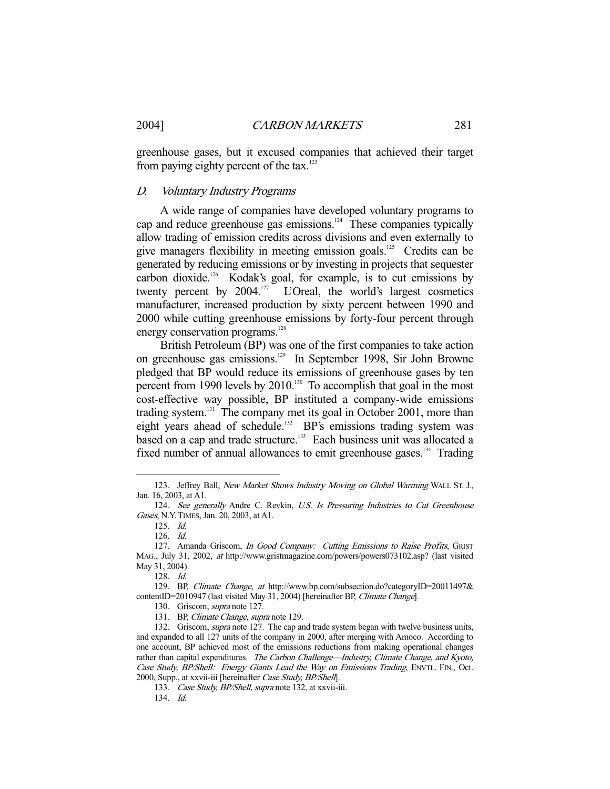greenhouse gases, but it excused companies that achieved their target from paying eighty percent of the tax.<sup>123</sup>

#### D. Voluntary Industry Programs

 A wide range of companies have developed voluntary programs to cap and reduce greenhouse gas emissions.<sup>124</sup> These companies typically allow trading of emission credits across divisions and even externally to give managers flexibility in meeting emission goals.<sup>125</sup> Credits can be generated by reducing emissions or by investing in projects that sequester carbon dioxide.<sup>126</sup> Kodak's goal, for example, is to cut emissions by twenty percent by 2004.<sup>127</sup> L'Oreal, the world's largest cosmetics manufacturer, increased production by sixty percent between 1990 and 2000 while cutting greenhouse emissions by forty-four percent through energy conservation programs.<sup>128</sup>

 British Petroleum (BP) was one of the first companies to take action on greenhouse gas emissions.129 In September 1998, Sir John Browne pledged that BP would reduce its emissions of greenhouse gases by ten percent from 1990 levels by  $2010$ .<sup>130</sup> To accomplish that goal in the most cost-effective way possible, BP instituted a company-wide emissions trading system.<sup>131</sup> The company met its goal in October 2001, more than eight years ahead of schedule.<sup>132</sup> BP's emissions trading system was based on a cap and trade structure.<sup>133</sup> Each business unit was allocated a fixed number of annual allowances to emit greenhouse gases.<sup>134</sup> Trading

<sup>123.</sup> Jeffrey Ball, New Market Shows Industry Moving on Global Warming WALL ST. J., Jan. 16, 2003, at A1.

 <sup>124.</sup> See generally Andre C. Revkin, U.S. Is Pressuring Industries to Cut Greenhouse Gases, N.Y.TIMES, Jan. 20, 2003, at A1.

 <sup>125.</sup> Id.

 <sup>126.</sup> Id.

<sup>127.</sup> Amanda Griscom, In Good Company: Cutting Emissions to Raise Profits, GRIST MAG., July 31, 2002, at http://www.gristmagazine.com/powers/powers073102.asp? (last visited May 31, 2004).

 <sup>128.</sup> Id.

 <sup>129.</sup> BP, Climate Change, at http://www.bp.com/subsection.do?categoryID=20011497& contentID=2010947 (last visited May 31, 2004) [hereinafter BP, Climate Change].

 <sup>130.</sup> Griscom, supra note 127.

<sup>131.</sup> BP, Climate Change, supra note 129.

<sup>132.</sup> Griscom, *supra* note 127. The cap and trade system began with twelve business units, and expanded to all 127 units of the company in 2000, after merging with Amoco. According to one account, BP achieved most of the emissions reductions from making operational changes rather than capital expenditures. The Carbon Challenge-Industry, Climate Change, and Kyoto, Case Study, BP/Shell: Energy Giants Lead the Way on Emissions Trading, ENVTL. FIN., Oct. 2000, Supp., at xxvii-iii [hereinafter Case Study, BP/Shell].

<sup>133.</sup> Case Study, BP/Shell, supra note 132, at xxvii-iii.

 <sup>134.</sup> Id.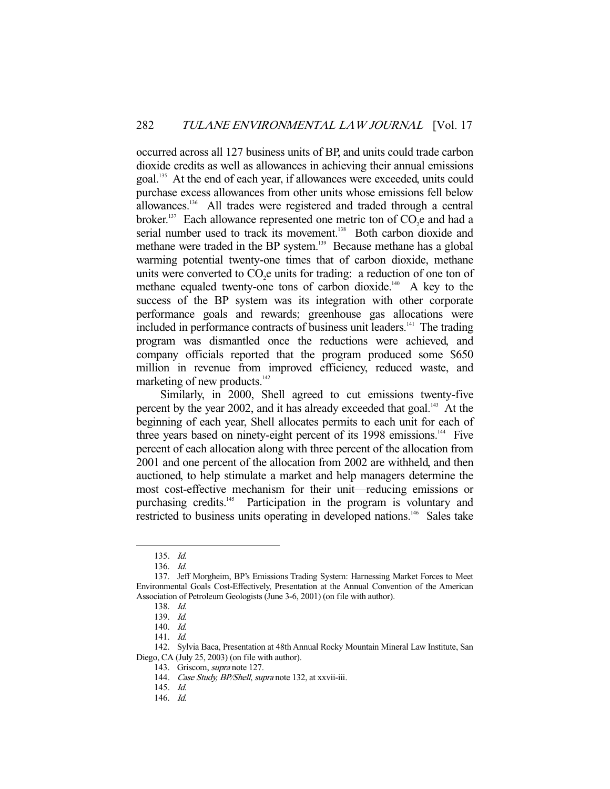occurred across all 127 business units of BP, and units could trade carbon dioxide credits as well as allowances in achieving their annual emissions goal.<sup>135</sup> At the end of each year, if allowances were exceeded, units could purchase excess allowances from other units whose emissions fell below allowances.<sup>136</sup> All trades were registered and traded through a central broker.<sup>137</sup> Each allowance represented one metric ton of  $CO<sub>2</sub>e$  and had a serial number used to track its movement.<sup>138</sup> Both carbon dioxide and methane were traded in the BP system.<sup>139</sup> Because methane has a global warming potential twenty-one times that of carbon dioxide, methane units were converted to  $CO<sub>2</sub>e$  units for trading: a reduction of one ton of methane equaled twenty-one tons of carbon dioxide.<sup>140</sup> A key to the success of the BP system was its integration with other corporate performance goals and rewards; greenhouse gas allocations were included in performance contracts of business unit leaders.<sup>141</sup> The trading program was dismantled once the reductions were achieved, and company officials reported that the program produced some \$650 million in revenue from improved efficiency, reduced waste, and marketing of new products.<sup>142</sup>

 Similarly, in 2000, Shell agreed to cut emissions twenty-five percent by the year 2002, and it has already exceeded that goal.<sup>143</sup> At the beginning of each year, Shell allocates permits to each unit for each of three years based on ninety-eight percent of its 1998 emissions.<sup>144</sup> Five percent of each allocation along with three percent of the allocation from 2001 and one percent of the allocation from 2002 are withheld, and then auctioned, to help stimulate a market and help managers determine the most cost-effective mechanism for their unit—reducing emissions or purchasing credits.<sup>145</sup> Participation in the program is voluntary and restricted to business units operating in developed nations.<sup>146</sup> Sales take

 <sup>135.</sup> Id.

 <sup>136.</sup> Id.

 <sup>137.</sup> Jeff Morgheim, BP's Emissions Trading System: Harnessing Market Forces to Meet Environmental Goals Cost-Effectively, Presentation at the Annual Convention of the American Association of Petroleum Geologists (June 3-6, 2001) (on file with author).

 <sup>138.</sup> Id.

 <sup>139.</sup> Id.

 <sup>140.</sup> Id.

 <sup>141.</sup> Id.

 <sup>142.</sup> Sylvia Baca, Presentation at 48th Annual Rocky Mountain Mineral Law Institute, San Diego, CA (July 25, 2003) (on file with author).

<sup>143.</sup> Griscom, *supra* note 127.

<sup>144.</sup> Case Study, BP/Shell, supra note 132, at xxvii-iii.

 <sup>145.</sup> Id.

 <sup>146.</sup> Id.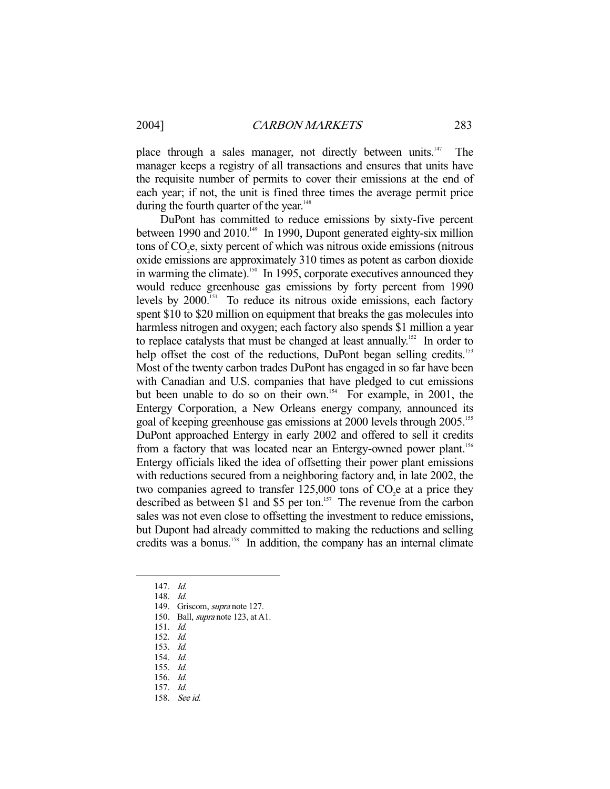place through a sales manager, not directly between units.<sup>147</sup> The manager keeps a registry of all transactions and ensures that units have the requisite number of permits to cover their emissions at the end of each year; if not, the unit is fined three times the average permit price during the fourth quarter of the year.<sup>148</sup>

 DuPont has committed to reduce emissions by sixty-five percent between 1990 and  $2010^{149}$  In 1990, Dupont generated eighty-six million tons of CO<sub>2</sub>e, sixty percent of which was nitrous oxide emissions (nitrous oxide emissions are approximately 310 times as potent as carbon dioxide in warming the climate).<sup>150</sup> In 1995, corporate executives announced they would reduce greenhouse gas emissions by forty percent from 1990 levels by 2000.<sup>151</sup> To reduce its nitrous oxide emissions, each factory spent \$10 to \$20 million on equipment that breaks the gas molecules into harmless nitrogen and oxygen; each factory also spends \$1 million a year to replace catalysts that must be changed at least annually.<sup>152</sup> In order to help offset the cost of the reductions, DuPont began selling credits.<sup>153</sup> Most of the twenty carbon trades DuPont has engaged in so far have been with Canadian and U.S. companies that have pledged to cut emissions but been unable to do so on their own.<sup>154</sup> For example, in 2001, the Entergy Corporation, a New Orleans energy company, announced its goal of keeping greenhouse gas emissions at 2000 levels through 2005.<sup>155</sup> DuPont approached Entergy in early 2002 and offered to sell it credits from a factory that was located near an Entergy-owned power plant.<sup>156</sup> Entergy officials liked the idea of offsetting their power plant emissions with reductions secured from a neighboring factory and, in late 2002, the two companies agreed to transfer  $125,000$  tons of  $CO<sub>2</sub>e$  at a price they described as between \$1 and \$5 per ton.<sup>157</sup> The revenue from the carbon sales was not even close to offsetting the investment to reduce emissions, but Dupont had already committed to making the reductions and selling credits was a bonus.<sup>158</sup> In addition, the company has an internal climate

147. Id.

- 148. Id.
- 149. Griscom, supra note 127.
- 150. Ball, supra note 123, at A1.
- 151. Id.
- 152. Id.
- 153. Id.
- 154. Id.
- 155. Id.
- 156. Id.
- 157. Id.
- 158. See id.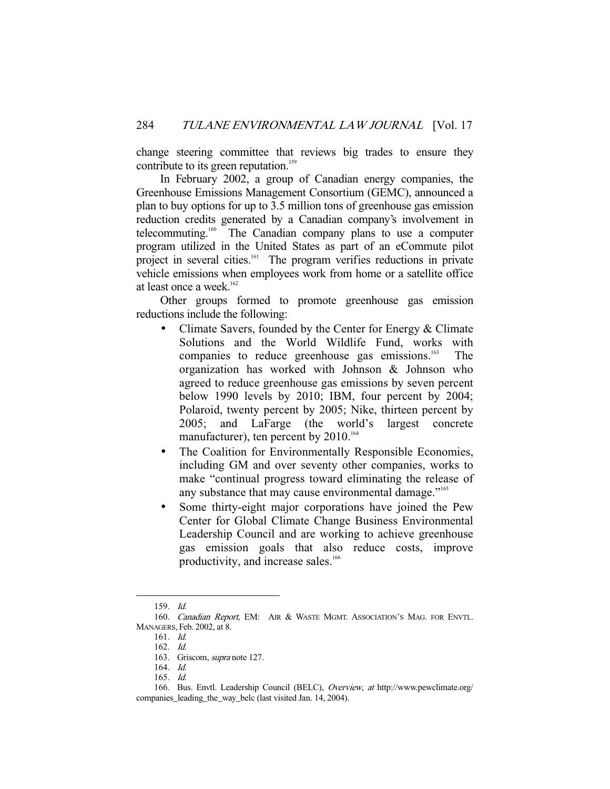change steering committee that reviews big trades to ensure they contribute to its green reputation.<sup>159</sup>

 In February 2002, a group of Canadian energy companies, the Greenhouse Emissions Management Consortium (GEMC), announced a plan to buy options for up to 3.5 million tons of greenhouse gas emission reduction credits generated by a Canadian company's involvement in telecommuting.160 The Canadian company plans to use a computer program utilized in the United States as part of an eCommute pilot project in several cities.<sup>161</sup> The program verifies reductions in private vehicle emissions when employees work from home or a satellite office at least once a week.<sup>162</sup>

 Other groups formed to promote greenhouse gas emission reductions include the following:

- Climate Savers, founded by the Center for Energy & Climate Solutions and the World Wildlife Fund, works with companies to reduce greenhouse gas emissions.<sup>163</sup> The organization has worked with Johnson & Johnson who agreed to reduce greenhouse gas emissions by seven percent below 1990 levels by 2010; IBM, four percent by 2004; Polaroid, twenty percent by 2005; Nike, thirteen percent by 2005; and LaFarge (the world's largest concrete manufacturer), ten percent by  $2010^{164}$
- The Coalition for Environmentally Responsible Economies, including GM and over seventy other companies, works to make "continual progress toward eliminating the release of any substance that may cause environmental damage."<sup>165</sup>
- Some thirty-eight major corporations have joined the Pew Center for Global Climate Change Business Environmental Leadership Council and are working to achieve greenhouse gas emission goals that also reduce costs, improve productivity, and increase sales.<sup>166</sup>

 <sup>159.</sup> Id.

<sup>160.</sup> Canadian Report, EM: AIR & WASTE MGMT. ASSOCIATION'S MAG. FOR ENVTL. MANAGERS, Feb. 2002, at 8.

 <sup>161.</sup> Id.

 <sup>162.</sup> Id.

 <sup>163.</sup> Griscom, supra note 127.

 <sup>164.</sup> Id.

 <sup>165.</sup> Id.

 <sup>166.</sup> Bus. Envtl. Leadership Council (BELC), Overview, at http://www.pewclimate.org/ companies\_leading\_the\_way\_belc (last visited Jan. 14, 2004).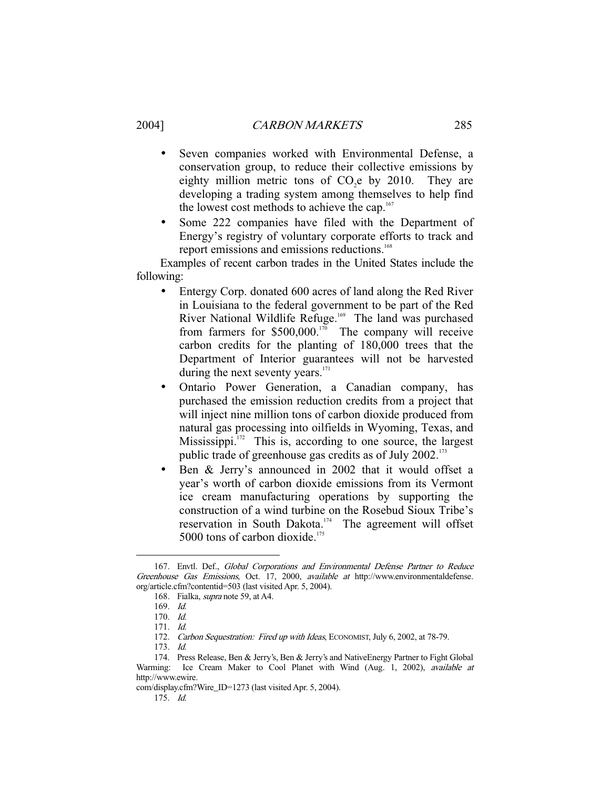- Seven companies worked with Environmental Defense, a conservation group, to reduce their collective emissions by eighty million metric tons of  $CO<sub>2</sub>e$  by 2010. They are developing a trading system among themselves to help find the lowest cost methods to achieve the cap.<sup>167</sup>
- Some 222 companies have filed with the Department of Energy's registry of voluntary corporate efforts to track and report emissions and emissions reductions.<sup>168</sup>

 Examples of recent carbon trades in the United States include the following:

- Entergy Corp. donated 600 acres of land along the Red River in Louisiana to the federal government to be part of the Red River National Wildlife Refuge.<sup>169</sup> The land was purchased from farmers for  $$500,000.<sup>170</sup>$  The company will receive carbon credits for the planting of 180,000 trees that the Department of Interior guarantees will not be harvested during the next seventy years.<sup>171</sup>
- Ontario Power Generation, a Canadian company, has purchased the emission reduction credits from a project that will inject nine million tons of carbon dioxide produced from natural gas processing into oilfields in Wyoming, Texas, and Mississippi. $172$  This is, according to one source, the largest public trade of greenhouse gas credits as of July 2002.<sup>173</sup>
- Ben & Jerry's announced in 2002 that it would offset a year's worth of carbon dioxide emissions from its Vermont ice cream manufacturing operations by supporting the construction of a wind turbine on the Rosebud Sioux Tribe's reservation in South Dakota.174 The agreement will offset 5000 tons of carbon dioxide.<sup>175</sup>

 <sup>167.</sup> Envtl. Def., Global Corporations and Environmental Defense Partner to Reduce Greenhouse Gas Emissions, Oct. 17, 2000, available at http://www.environmentaldefense. org/article.cfm?contentid=503 (last visited Apr. 5, 2004).

 <sup>168.</sup> Fialka, supra note 59, at A4.

 <sup>169.</sup> Id.

 <sup>170.</sup> Id.

 <sup>171.</sup> Id.

<sup>172.</sup> Carbon Sequestration: Fired up with Ideas, ECONOMIST, July 6, 2002, at 78-79.

 <sup>173.</sup> Id.

 <sup>174.</sup> Press Release, Ben & Jerry's, Ben & Jerry's and NativeEnergy Partner to Fight Global Warming: Ice Cream Maker to Cool Planet with Wind (Aug. 1, 2002), available at http://www.ewire.

com/display.cfm?Wire\_ID=1273 (last visited Apr. 5, 2004).

 <sup>175.</sup> Id.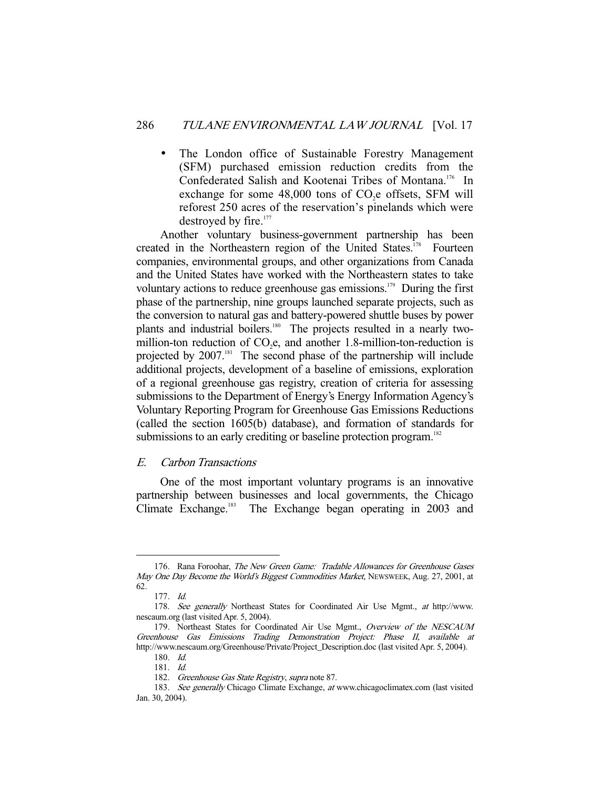• The London office of Sustainable Forestry Management (SFM) purchased emission reduction credits from the Confederated Salish and Kootenai Tribes of Montana.<sup>176</sup> In exchange for some  $48,000$  tons of  $CO<sub>2</sub>e$  offsets, SFM will reforest 250 acres of the reservation's pinelands which were destroyed by fire.<sup>177</sup>

 Another voluntary business-government partnership has been created in the Northeastern region of the United States.<sup>178</sup> Fourteen companies, environmental groups, and other organizations from Canada and the United States have worked with the Northeastern states to take voluntary actions to reduce greenhouse gas emissions.179 During the first phase of the partnership, nine groups launched separate projects, such as the conversion to natural gas and battery-powered shuttle buses by power plants and industrial boilers.<sup>180</sup> The projects resulted in a nearly twomillion-ton reduction of  $CO<sub>2</sub>e$ , and another 1.8-million-ton-reduction is projected by 2007.<sup>181</sup> The second phase of the partnership will include additional projects, development of a baseline of emissions, exploration of a regional greenhouse gas registry, creation of criteria for assessing submissions to the Department of Energy's Energy Information Agency's Voluntary Reporting Program for Greenhouse Gas Emissions Reductions (called the section 1605(b) database), and formation of standards for submissions to an early crediting or baseline protection program.<sup>182</sup>

#### E. Carbon Transactions

 One of the most important voluntary programs is an innovative partnership between businesses and local governments, the Chicago Climate Exchange.<sup>183</sup> The Exchange began operating in 2003 and

<sup>176.</sup> Rana Foroohar, The New Green Game: Tradable Allowances for Greenhouse Gases May One Day Become the World's Biggest Commodities Market, NEWSWEEK, Aug. 27, 2001, at 62.

 <sup>177.</sup> Id.

<sup>178.</sup> See generally Northeast States for Coordinated Air Use Mgmt., at http://www. nescaum.org (last visited Apr. 5, 2004).

 <sup>179.</sup> Northeast States for Coordinated Air Use Mgmt., Overview of the NESCAUM Greenhouse Gas Emissions Trading Demonstration Project: Phase II, available at http://www.nescaum.org/Greenhouse/Private/Project\_Description.doc (last visited Apr. 5, 2004).

 <sup>180.</sup> Id.

 <sup>181.</sup> Id.

<sup>182.</sup> Greenhouse Gas State Registry, supra note 87.

 <sup>183.</sup> See generally Chicago Climate Exchange, at www.chicagoclimatex.com (last visited Jan. 30, 2004).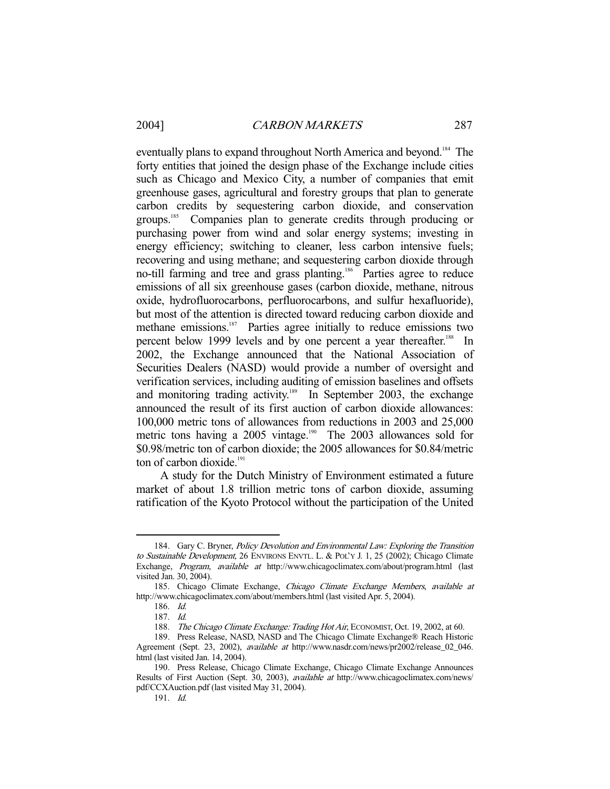eventually plans to expand throughout North America and beyond.<sup>184</sup> The forty entities that joined the design phase of the Exchange include cities such as Chicago and Mexico City, a number of companies that emit greenhouse gases, agricultural and forestry groups that plan to generate carbon credits by sequestering carbon dioxide, and conservation groups.185 Companies plan to generate credits through producing or purchasing power from wind and solar energy systems; investing in energy efficiency; switching to cleaner, less carbon intensive fuels; recovering and using methane; and sequestering carbon dioxide through no-till farming and tree and grass planting.<sup>186</sup> Parties agree to reduce emissions of all six greenhouse gases (carbon dioxide, methane, nitrous oxide, hydrofluorocarbons, perfluorocarbons, and sulfur hexafluoride), but most of the attention is directed toward reducing carbon dioxide and methane emissions.<sup>187</sup> Parties agree initially to reduce emissions two percent below 1999 levels and by one percent a year thereafter.<sup>188</sup> In 2002, the Exchange announced that the National Association of Securities Dealers (NASD) would provide a number of oversight and verification services, including auditing of emission baselines and offsets and monitoring trading activity.<sup>189</sup> In September 2003, the exchange announced the result of its first auction of carbon dioxide allowances: 100,000 metric tons of allowances from reductions in 2003 and 25,000 metric tons having a 2005 vintage.<sup>190</sup> The 2003 allowances sold for \$0.98/metric ton of carbon dioxide; the 2005 allowances for \$0.84/metric ton of carbon dioxide.<sup>191</sup>

 A study for the Dutch Ministry of Environment estimated a future market of about 1.8 trillion metric tons of carbon dioxide, assuming ratification of the Kyoto Protocol without the participation of the United

<sup>184.</sup> Gary C. Bryner, *Policy Devolution and Environmental Law: Exploring the Transition* to Sustainable Development, 26 ENVIRONS ENVTL. L. & POL'Y J. 1, 25 (2002); Chicago Climate Exchange, Program, available at http://www.chicagoclimatex.com/about/program.html (last visited Jan. 30, 2004).

<sup>185.</sup> Chicago Climate Exchange, Chicago Climate Exchange Members, available at http://www.chicagoclimatex.com/about/members.html (last visited Apr. 5, 2004).

 <sup>186.</sup> Id.

 <sup>187.</sup> Id.

<sup>188.</sup> The Chicago Climate Exchange: Trading Hot Air, ECONOMIST, Oct. 19, 2002, at 60.

 <sup>189.</sup> Press Release, NASD, NASD and The Chicago Climate Exchange® Reach Historic Agreement (Sept. 23, 2002), available at http://www.nasdr.com/news/pr2002/release\_02\_046. html (last visited Jan. 14, 2004).

 <sup>190.</sup> Press Release, Chicago Climate Exchange, Chicago Climate Exchange Announces Results of First Auction (Sept. 30, 2003), available at http://www.chicagoclimatex.com/news/ pdf/CCXAuction.pdf (last visited May 31, 2004).

 <sup>191.</sup> Id.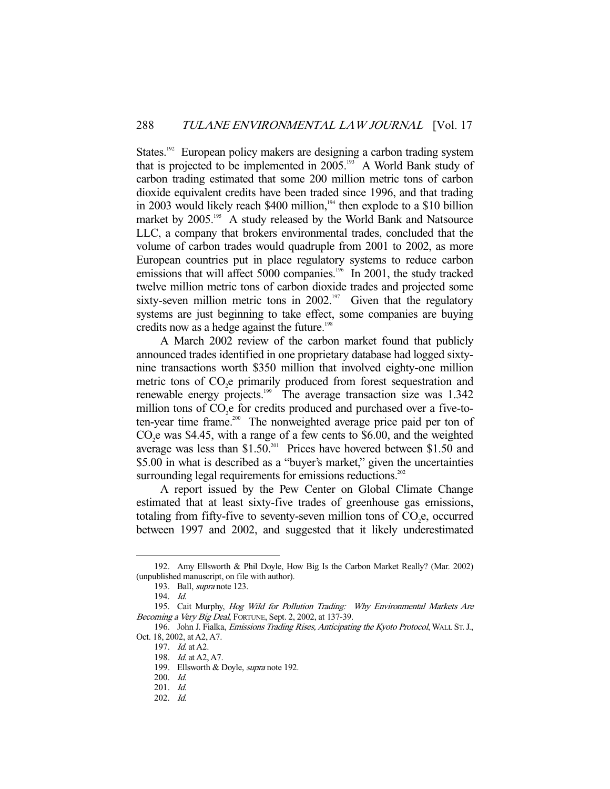States.<sup>192</sup> European policy makers are designing a carbon trading system that is projected to be implemented in  $2005.^{193}$  A World Bank study of carbon trading estimated that some 200 million metric tons of carbon dioxide equivalent credits have been traded since 1996, and that trading in 2003 would likely reach  $$400$  million,<sup>194</sup> then explode to a  $$10$  billion market by 2005.<sup>195</sup> A study released by the World Bank and Natsource LLC, a company that brokers environmental trades, concluded that the volume of carbon trades would quadruple from 2001 to 2002, as more European countries put in place regulatory systems to reduce carbon emissions that will affect 5000 companies.<sup>196</sup> In 2001, the study tracked twelve million metric tons of carbon dioxide trades and projected some sixty-seven million metric tons in 2002.<sup>197</sup> Given that the regulatory systems are just beginning to take effect, some companies are buying credits now as a hedge against the future.<sup>198</sup>

 A March 2002 review of the carbon market found that publicly announced trades identified in one proprietary database had logged sixtynine transactions worth \$350 million that involved eighty-one million metric tons of CO<sub>2</sub>e primarily produced from forest sequestration and renewable energy projects.<sup>199</sup> The average transaction size was 1.342 million tons of  $CO<sub>2</sub>e$  for credits produced and purchased over a five-toten-year time frame.<sup>200</sup> The nonweighted average price paid per ton of  $CO<sub>2</sub>e$  was \$4.45, with a range of a few cents to \$6.00, and the weighted average was less than  $$1.50<sup>201</sup>$  Prices have hovered between  $$1.50$  and \$5.00 in what is described as a "buyer's market," given the uncertainties surrounding legal requirements for emissions reductions.<sup>202</sup>

 A report issued by the Pew Center on Global Climate Change estimated that at least sixty-five trades of greenhouse gas emissions, totaling from fifty-five to seventy-seven million tons of  $CO<sub>2</sub>e$ , occurred between 1997 and 2002, and suggested that it likely underestimated

 <sup>192.</sup> Amy Ellsworth & Phil Doyle, How Big Is the Carbon Market Really? (Mar. 2002) (unpublished manuscript, on file with author).

 <sup>193.</sup> Ball, supra note 123.

 <sup>194.</sup> Id.

<sup>195.</sup> Cait Murphy, Hog Wild for Pollution Trading: Why Environmental Markets Are Becoming a Very Big Deal, FORTUNE, Sept. 2, 2002, at 137-39.

<sup>196.</sup> John J. Fialka, Emissions Trading Rises, Anticipating the Kyoto Protocol, WALL ST. J., Oct. 18, 2002, at A2, A7.

 <sup>197.</sup> Id. at A2.

 <sup>198.</sup> Id. at A2, A7.

<sup>199.</sup> Ellsworth & Doyle, *supra* note 192.

 <sup>200.</sup> Id.

 <sup>201.</sup> Id.

 <sup>202.</sup> Id.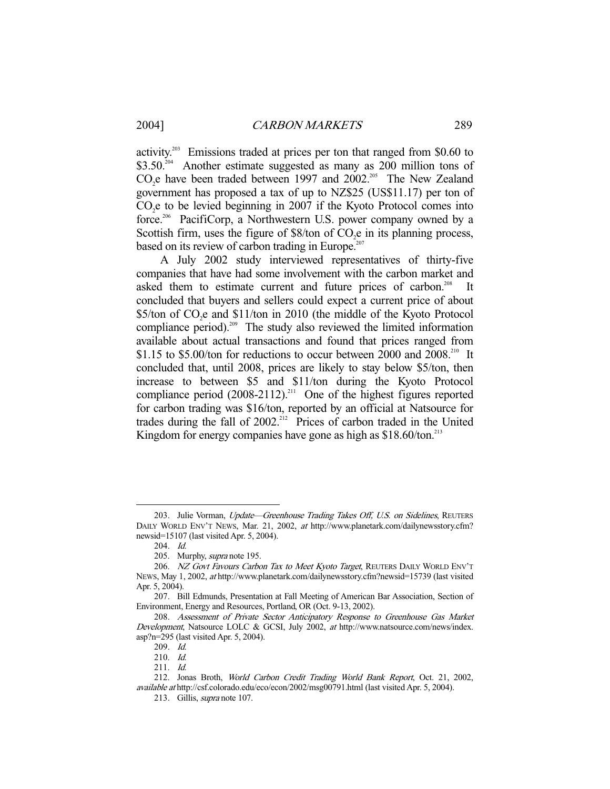activity.203 Emissions traded at prices per ton that ranged from \$0.60 to \$3.50<sup>204</sup> Another estimate suggested as many as 200 million tons of  $CO<sub>2</sub>e$  have been traded between 1997 and 2002.<sup>205</sup> The New Zealand government has proposed a tax of up to NZ\$25 (US\$11.17) per ton of  $CO<sub>2</sub>e$  to be levied beginning in 2007 if the Kyoto Protocol comes into force.<sup>206</sup> PacifiCorp, a Northwestern U.S. power company owned by a Scottish firm, uses the figure of  $$8$ /ton of  $CO<sub>2</sub>e$  in its planning process, based on its review of carbon trading in Europe. $207$ 

 A July 2002 study interviewed representatives of thirty-five companies that have had some involvement with the carbon market and asked them to estimate current and future prices of carbon.<sup>208</sup> It concluded that buyers and sellers could expect a current price of about  $$5/ton of CO<sub>2</sub>e and $11/ton in 2010 (the middle of the Kyoto Protocol)$ compliance period).<sup>209</sup> The study also reviewed the limited information available about actual transactions and found that prices ranged from \$1.15 to \$5.00/ton for reductions to occur between 2000 and  $2008<sup>210</sup>$  It concluded that, until 2008, prices are likely to stay below \$5/ton, then increase to between \$5 and \$11/ton during the Kyoto Protocol compliance period  $(2008-2112)$ .<sup>211</sup> One of the highest figures reported for carbon trading was \$16/ton, reported by an official at Natsource for trades during the fall of 2002.<sup>212</sup> Prices of carbon traded in the United Kingdom for energy companies have gone as high as  $$18.60/t$ on.<sup>213</sup>

-

213. Gillis, supra note 107.

<sup>203.</sup> Julie Vorman, Update—Greenhouse Trading Takes Off, U.S. on Sidelines, REUTERS DAILY WORLD ENV'T NEWS, Mar. 21, 2002, at http://www.planetark.com/dailynewsstory.cfm? newsid=15107 (last visited Apr. 5, 2004).

 <sup>204.</sup> Id.

<sup>205.</sup> Murphy, *supra* note 195.

<sup>206.</sup> NZ Govt Favours Carbon Tax to Meet Kyoto Target, REUTERS DAILY WORLD ENV'T NEWS, May 1, 2002, at http://www.planetark.com/dailynewsstory.cfm?newsid=15739 (last visited Apr. 5, 2004).

 <sup>207.</sup> Bill Edmunds, Presentation at Fall Meeting of American Bar Association, Section of Environment, Energy and Resources, Portland, OR (Oct. 9-13, 2002).

 <sup>208.</sup> Assessment of Private Sector Anticipatory Response to Greenhouse Gas Market Development, Natsource LOLC & GCSI, July 2002, at http://www.natsource.com/news/index. asp?n=295 (last visited Apr. 5, 2004).

 <sup>209.</sup> Id.

 <sup>210.</sup> Id.

 <sup>211.</sup> Id.

 <sup>212.</sup> Jonas Broth, World Carbon Credit Trading World Bank Report, Oct. 21, 2002, available at http://csf.colorado.edu/eco/econ/2002/msg00791.html (last visited Apr. 5, 2004).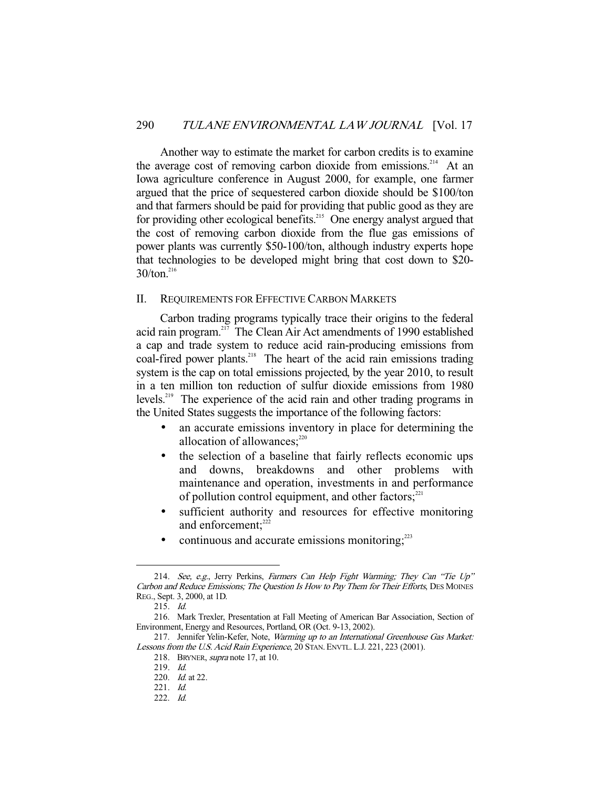Another way to estimate the market for carbon credits is to examine the average cost of removing carbon dioxide from emissions.<sup>214</sup> At an Iowa agriculture conference in August 2000, for example, one farmer argued that the price of sequestered carbon dioxide should be \$100/ton and that farmers should be paid for providing that public good as they are for providing other ecological benefits.<sup>215</sup> One energy analyst argued that the cost of removing carbon dioxide from the flue gas emissions of power plants was currently \$50-100/ton, although industry experts hope that technologies to be developed might bring that cost down to \$20-  $30/t$ on.<sup>216</sup>

#### II. REQUIREMENTS FOR EFFECTIVE CARBON MARKETS

 Carbon trading programs typically trace their origins to the federal acid rain program.217 The Clean Air Act amendments of 1990 established a cap and trade system to reduce acid rain-producing emissions from coal-fired power plants.<sup>218</sup> The heart of the acid rain emissions trading system is the cap on total emissions projected, by the year 2010, to result in a ten million ton reduction of sulfur dioxide emissions from 1980 levels.219 The experience of the acid rain and other trading programs in the United States suggests the importance of the following factors:

- an accurate emissions inventory in place for determining the allocation of allowances; $220$
- the selection of a baseline that fairly reflects economic ups and downs, breakdowns and other problems with maintenance and operation, investments in and performance of pollution control equipment, and other factors; $2^{21}$
- sufficient authority and resources for effective monitoring and enforcement:<sup>222</sup>
- continuous and accurate emissions monitoring;<sup>223</sup>

<sup>214.</sup> See, e.g., Jerry Perkins, Farmers Can Help Fight Warming; They Can "Tie Up" Carbon and Reduce Emissions; The Question Is How to Pay Them for Their Efforts, DES MOINES REG., Sept. 3, 2000, at 1D.

 <sup>215.</sup> Id.

 <sup>216.</sup> Mark Trexler, Presentation at Fall Meeting of American Bar Association, Section of Environment, Energy and Resources, Portland, OR (Oct. 9-13, 2002).

<sup>217.</sup> Jennifer Yelin-Kefer, Note, Warming up to an International Greenhouse Gas Market: Lessons from the U.S. Acid Rain Experience, 20 STAN. ENVTL. L.J. 221, 223 (2001).

<sup>218.</sup> BRYNER, *supra* note 17, at 10.

 <sup>219.</sup> Id.

 <sup>220.</sup> Id. at 22.

 <sup>221.</sup> Id.

 <sup>222.</sup> Id.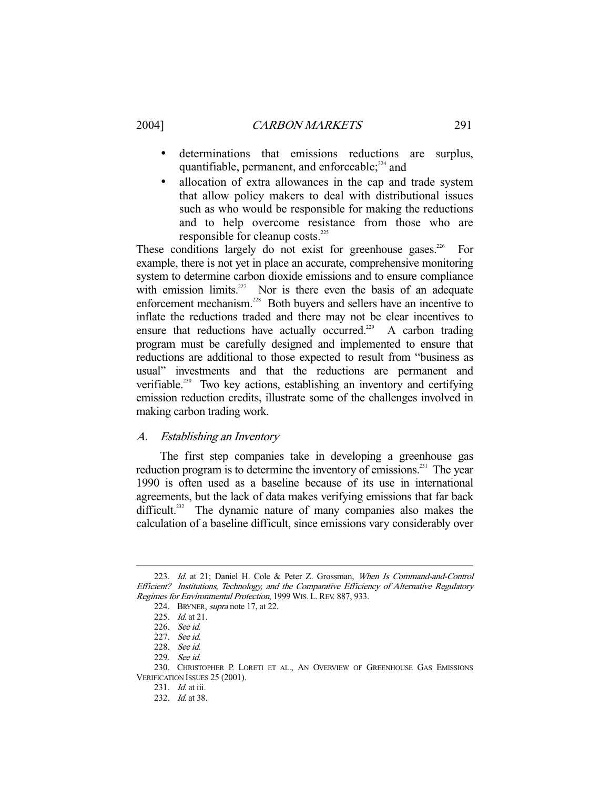- - determinations that emissions reductions are surplus, quantifiable, permanent, and enforceable; $224$  and
	- allocation of extra allowances in the cap and trade system that allow policy makers to deal with distributional issues such as who would be responsible for making the reductions and to help overcome resistance from those who are responsible for cleanup costs.<sup>225</sup>

These conditions largely do not exist for greenhouse gases.<sup>226</sup> For example, there is not yet in place an accurate, comprehensive monitoring system to determine carbon dioxide emissions and to ensure compliance with emission limits.<sup>227</sup> Nor is there even the basis of an adequate enforcement mechanism.<sup>228</sup> Both buyers and sellers have an incentive to inflate the reductions traded and there may not be clear incentives to ensure that reductions have actually occurred.<sup>229</sup> A carbon trading program must be carefully designed and implemented to ensure that reductions are additional to those expected to result from "business as usual" investments and that the reductions are permanent and verifiable.<sup>230</sup> Two key actions, establishing an inventory and certifying emission reduction credits, illustrate some of the challenges involved in making carbon trading work.

#### A. Establishing an Inventory

 The first step companies take in developing a greenhouse gas reduction program is to determine the inventory of emissions.<sup>231</sup> The year 1990 is often used as a baseline because of its use in international agreements, but the lack of data makes verifying emissions that far back difficult.<sup>232</sup> The dynamic nature of many companies also makes the calculation of a baseline difficult, since emissions vary considerably over

<sup>223.</sup> Id. at 21; Daniel H. Cole & Peter Z. Grossman, When Is Command-and-Control Efficient? Institutions, Technology, and the Comparative Efficiency of Alternative Regulatory Regimes for Environmental Protection, 1999 WIS. L.REV. 887, 933.

 <sup>224.</sup> BRYNER, supra note 17, at 22.

<sup>225.</sup> *Id.* at 21.

 <sup>226.</sup> See id.

 <sup>227.</sup> See id.

 <sup>228.</sup> See id.

<sup>229.</sup> See id.

 <sup>230.</sup> CHRISTOPHER P. LORETI ET AL., AN OVERVIEW OF GREENHOUSE GAS EMISSIONS VERIFICATION ISSUES 25 (2001).

 <sup>231.</sup> Id. at iii.

 <sup>232.</sup> Id. at 38.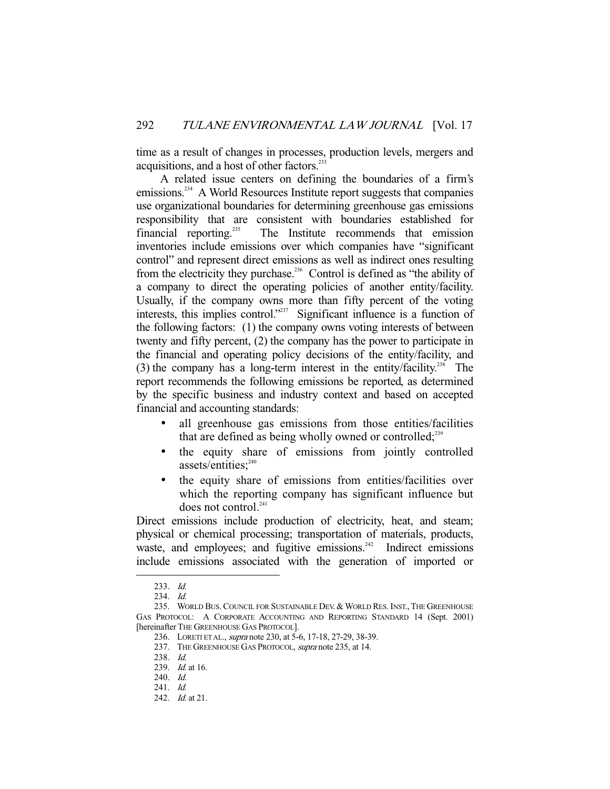time as a result of changes in processes, production levels, mergers and acquisitions, and a host of other factors.<sup>23</sup>

 A related issue centers on defining the boundaries of a firm's emissions.<sup>234</sup> A World Resources Institute report suggests that companies use organizational boundaries for determining greenhouse gas emissions responsibility that are consistent with boundaries established for financial reporting.<sup>235</sup> The Institute recommends that emission inventories include emissions over which companies have "significant control" and represent direct emissions as well as indirect ones resulting from the electricity they purchase.<sup>236</sup> Control is defined as "the ability of a company to direct the operating policies of another entity/facility. Usually, if the company owns more than fifty percent of the voting interests, this implies control."<sup>237</sup> Significant influence is a function of the following factors: (1) the company owns voting interests of between twenty and fifty percent, (2) the company has the power to participate in the financial and operating policy decisions of the entity/facility, and (3) the company has a long-term interest in the entity/facility.<sup>238</sup> The report recommends the following emissions be reported, as determined by the specific business and industry context and based on accepted financial and accounting standards:

- all greenhouse gas emissions from those entities/facilities that are defined as being wholly owned or controlled; $^{239}$
- the equity share of emissions from jointly controlled assets/entities:<sup>240</sup>
- the equity share of emissions from entities/facilities over which the reporting company has significant influence but does not control.<sup>241</sup>

Direct emissions include production of electricity, heat, and steam; physical or chemical processing; transportation of materials, products, waste, and employees; and fugitive emissions. $242$  Indirect emissions include emissions associated with the generation of imported or

 <sup>233.</sup> Id.

 <sup>234.</sup> Id.

<sup>235.</sup> WORLD BUS. COUNCIL FOR SUSTAINABLE DEV. & WORLD RES. INST., THE GREENHOUSE GAS PROTOCOL: A CORPORATE ACCOUNTING AND REPORTING STANDARD 14 (Sept. 2001) [hereinafter THE GREENHOUSE GAS PROTOCOL].

 <sup>236.</sup> LORETI ET AL., supra note 230, at 5-6, 17-18, 27-29, 38-39.

<sup>237.</sup> THE GREENHOUSE GAS PROTOCOL, *supra* note 235, at 14.

 <sup>238.</sup> Id.

<sup>239.</sup> *Id.* at 16.

 <sup>240.</sup> Id.

 <sup>241.</sup> Id.

 <sup>242.</sup> Id. at 21.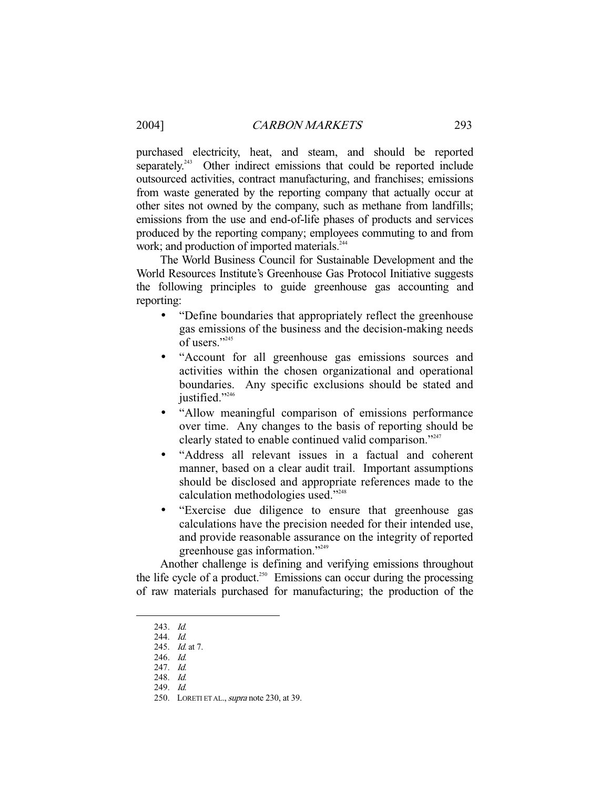purchased electricity, heat, and steam, and should be reported separately.<sup>243</sup> Other indirect emissions that could be reported include outsourced activities, contract manufacturing, and franchises; emissions from waste generated by the reporting company that actually occur at other sites not owned by the company, such as methane from landfills; emissions from the use and end-of-life phases of products and services produced by the reporting company; employees commuting to and from work; and production of imported materials.<sup>244</sup>

 The World Business Council for Sustainable Development and the World Resources Institute's Greenhouse Gas Protocol Initiative suggests the following principles to guide greenhouse gas accounting and reporting:

- "Define boundaries that appropriately reflect the greenhouse gas emissions of the business and the decision-making needs of users $"$ <sup>245</sup>
- "Account for all greenhouse gas emissions sources and activities within the chosen organizational and operational boundaries. Any specific exclusions should be stated and justified."246
- "Allow meaningful comparison of emissions performance over time. Any changes to the basis of reporting should be clearly stated to enable continued valid comparison."<sup>247</sup>
- "Address all relevant issues in a factual and coherent manner, based on a clear audit trail. Important assumptions should be disclosed and appropriate references made to the calculation methodologies used."248
- "Exercise due diligence to ensure that greenhouse gas calculations have the precision needed for their intended use, and provide reasonable assurance on the integrity of reported greenhouse gas information."249

 Another challenge is defining and verifying emissions throughout the life cycle of a product.<sup>250</sup> Emissions can occur during the processing of raw materials purchased for manufacturing; the production of the

 <sup>243.</sup> Id.

 <sup>244.</sup> Id.

<sup>245.</sup> *Id.* at 7.

 <sup>246.</sup> Id.

 <sup>247.</sup> Id.

 <sup>248.</sup> Id.

 <sup>249.</sup> Id.

<sup>250.</sup> LORETI ET AL., supra note 230, at 39.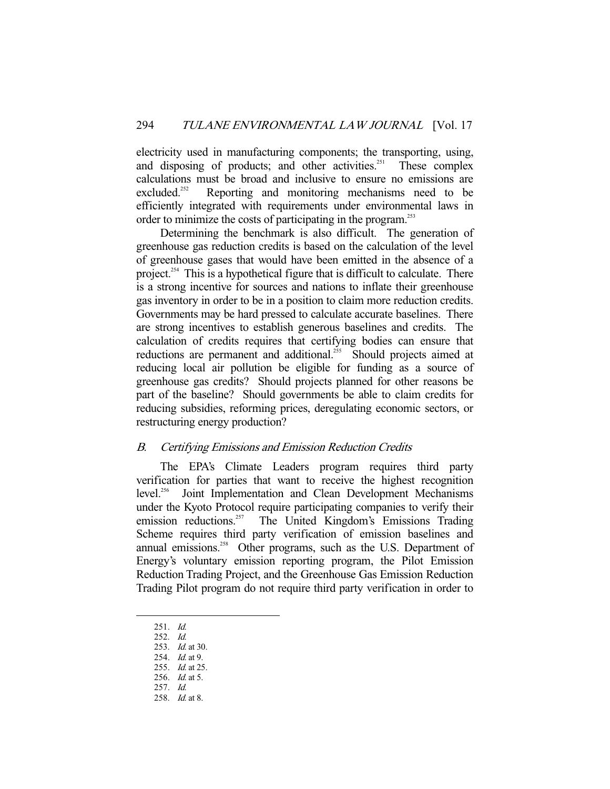electricity used in manufacturing components; the transporting, using, and disposing of products; and other activities.<sup>251</sup> These complex calculations must be broad and inclusive to ensure no emissions are excluded.<sup>252</sup> Reporting and monitoring mechanisms need to be Reporting and monitoring mechanisms need to be efficiently integrated with requirements under environmental laws in order to minimize the costs of participating in the program.<sup>253</sup>

 Determining the benchmark is also difficult. The generation of greenhouse gas reduction credits is based on the calculation of the level of greenhouse gases that would have been emitted in the absence of a project.<sup>254</sup> This is a hypothetical figure that is difficult to calculate. There is a strong incentive for sources and nations to inflate their greenhouse gas inventory in order to be in a position to claim more reduction credits. Governments may be hard pressed to calculate accurate baselines. There are strong incentives to establish generous baselines and credits. The calculation of credits requires that certifying bodies can ensure that reductions are permanent and additional.<sup>255</sup> Should projects aimed at reducing local air pollution be eligible for funding as a source of greenhouse gas credits? Should projects planned for other reasons be part of the baseline? Should governments be able to claim credits for reducing subsidies, reforming prices, deregulating economic sectors, or restructuring energy production?

#### B. Certifying Emissions and Emission Reduction Credits

 The EPA's Climate Leaders program requires third party verification for parties that want to receive the highest recognition level.<sup>256</sup> Joint Implementation and Clean Development Mechanisms under the Kyoto Protocol require participating companies to verify their emission reductions.<sup>257</sup> The United Kingdom's Emissions Trading Scheme requires third party verification of emission baselines and annual emissions.<sup>258</sup> Other programs, such as the U.S. Department of Energy's voluntary emission reporting program, the Pilot Emission Reduction Trading Project, and the Greenhouse Gas Emission Reduction Trading Pilot program do not require third party verification in order to

-

- 253. *Id.* at 30.
- 254. *Id.* at 9.
- 255. *Id.* at 25.

257. Id.

 <sup>251.</sup> Id.

 <sup>252.</sup> Id.

<sup>256.</sup> *Id.* at 5.

 <sup>258.</sup> Id. at 8.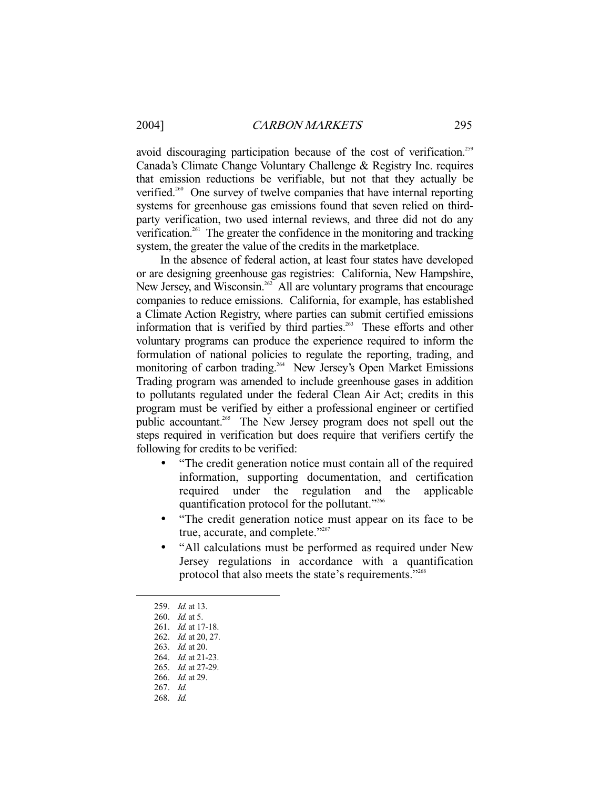avoid discouraging participation because of the cost of verification.<sup>259</sup> Canada's Climate Change Voluntary Challenge & Registry Inc. requires that emission reductions be verifiable, but not that they actually be verified.<sup>260</sup> One survey of twelve companies that have internal reporting systems for greenhouse gas emissions found that seven relied on thirdparty verification, two used internal reviews, and three did not do any verification.261 The greater the confidence in the monitoring and tracking system, the greater the value of the credits in the marketplace.

 In the absence of federal action, at least four states have developed or are designing greenhouse gas registries: California, New Hampshire, New Jersey, and Wisconsin.<sup>262</sup> All are voluntary programs that encourage companies to reduce emissions. California, for example, has established a Climate Action Registry, where parties can submit certified emissions information that is verified by third parties.<sup>263</sup> These efforts and other voluntary programs can produce the experience required to inform the formulation of national policies to regulate the reporting, trading, and monitoring of carbon trading.<sup>264</sup> New Jersey's Open Market Emissions Trading program was amended to include greenhouse gases in addition to pollutants regulated under the federal Clean Air Act; credits in this program must be verified by either a professional engineer or certified public accountant.<sup>265</sup> The New Jersey program does not spell out the steps required in verification but does require that verifiers certify the following for credits to be verified:

- "The credit generation notice must contain all of the required information, supporting documentation, and certification required under the regulation and the applicable quantification protocol for the pollutant."<sup>266</sup>
- "The credit generation notice must appear on its face to be true, accurate, and complete."<sup>267</sup>
- "All calculations must be performed as required under New Jersey regulations in accordance with a quantification protocol that also meets the state's requirements."<sup>268</sup>

<sup>259.</sup> *Id.* at 13.

 <sup>260.</sup> Id. at 5.

<sup>261.</sup> *Id.* at 17-18.

 <sup>262.</sup> Id. at 20, 27.

<sup>263.</sup> *Id.* at 20.

<sup>264.</sup> *Id.* at 21-23.

 <sup>265.</sup> Id. at 27-29.

 <sup>266.</sup> Id. at 29.

 <sup>267.</sup> Id.

 <sup>268.</sup> Id.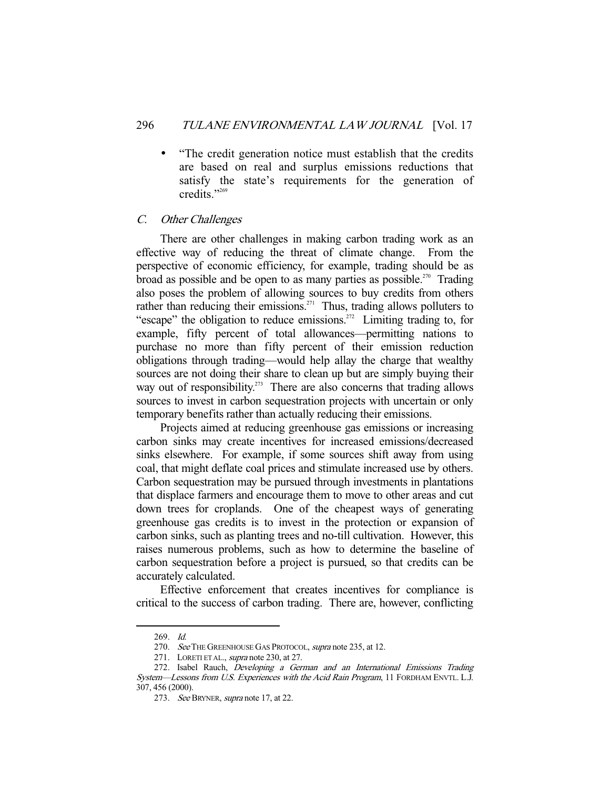• "The credit generation notice must establish that the credits are based on real and surplus emissions reductions that satisfy the state's requirements for the generation of credits."<sup>269</sup>

#### C. Other Challenges

 There are other challenges in making carbon trading work as an effective way of reducing the threat of climate change. From the perspective of economic efficiency, for example, trading should be as broad as possible and be open to as many parties as possible.<sup>270</sup> Trading also poses the problem of allowing sources to buy credits from others rather than reducing their emissions.<sup>271</sup> Thus, trading allows polluters to "escape" the obligation to reduce emissions.<sup>272</sup> Limiting trading to, for example, fifty percent of total allowances—permitting nations to purchase no more than fifty percent of their emission reduction obligations through trading—would help allay the charge that wealthy sources are not doing their share to clean up but are simply buying their way out of responsibility.<sup>273</sup> There are also concerns that trading allows sources to invest in carbon sequestration projects with uncertain or only temporary benefits rather than actually reducing their emissions.

 Projects aimed at reducing greenhouse gas emissions or increasing carbon sinks may create incentives for increased emissions/decreased sinks elsewhere. For example, if some sources shift away from using coal, that might deflate coal prices and stimulate increased use by others. Carbon sequestration may be pursued through investments in plantations that displace farmers and encourage them to move to other areas and cut down trees for croplands. One of the cheapest ways of generating greenhouse gas credits is to invest in the protection or expansion of carbon sinks, such as planting trees and no-till cultivation. However, this raises numerous problems, such as how to determine the baseline of carbon sequestration before a project is pursued, so that credits can be accurately calculated.

 Effective enforcement that creates incentives for compliance is critical to the success of carbon trading. There are, however, conflicting

 <sup>269.</sup> Id.

<sup>270.</sup> See THE GREENHOUSE GAS PROTOCOL, supra note 235, at 12.

<sup>271.</sup> LORETI ET AL., *supra* note 230, at 27.

<sup>272.</sup> Isabel Rauch, Developing a German and an International Emissions Trading System—Lessons from U.S. Experiences with the Acid Rain Program, 11 FORDHAM ENVTL. L.J. 307, 456 (2000).

<sup>273.</sup> See BRYNER, supra note 17, at 22.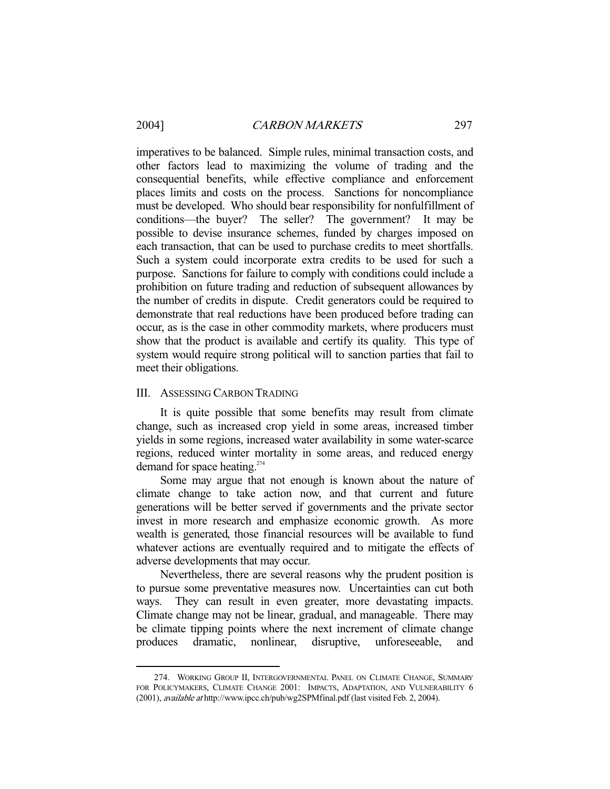-

imperatives to be balanced. Simple rules, minimal transaction costs, and other factors lead to maximizing the volume of trading and the consequential benefits, while effective compliance and enforcement places limits and costs on the process. Sanctions for noncompliance must be developed. Who should bear responsibility for nonfulfillment of conditions—the buyer? The seller? The government? It may be possible to devise insurance schemes, funded by charges imposed on each transaction, that can be used to purchase credits to meet shortfalls. Such a system could incorporate extra credits to be used for such a purpose. Sanctions for failure to comply with conditions could include a prohibition on future trading and reduction of subsequent allowances by the number of credits in dispute. Credit generators could be required to demonstrate that real reductions have been produced before trading can occur, as is the case in other commodity markets, where producers must show that the product is available and certify its quality. This type of system would require strong political will to sanction parties that fail to meet their obligations.

#### III. ASSESSING CARBON TRADING

 It is quite possible that some benefits may result from climate change, such as increased crop yield in some areas, increased timber yields in some regions, increased water availability in some water-scarce regions, reduced winter mortality in some areas, and reduced energy demand for space heating. $274$ 

 Some may argue that not enough is known about the nature of climate change to take action now, and that current and future generations will be better served if governments and the private sector invest in more research and emphasize economic growth. As more wealth is generated, those financial resources will be available to fund whatever actions are eventually required and to mitigate the effects of adverse developments that may occur.

 Nevertheless, there are several reasons why the prudent position is to pursue some preventative measures now. Uncertainties can cut both ways. They can result in even greater, more devastating impacts. Climate change may not be linear, gradual, and manageable. There may be climate tipping points where the next increment of climate change produces dramatic, nonlinear, disruptive, unforeseeable, and

 <sup>274.</sup> WORKING GROUP II, INTERGOVERNMENTAL PANEL ON CLIMATE CHANGE, SUMMARY FOR POLICYMAKERS, CLIMATE CHANGE 2001: IMPACTS, ADAPTATION, AND VULNERABILITY 6 (2001), available at http://www.ipcc.ch/pub/wg2SPMfinal.pdf (last visited Feb. 2, 2004).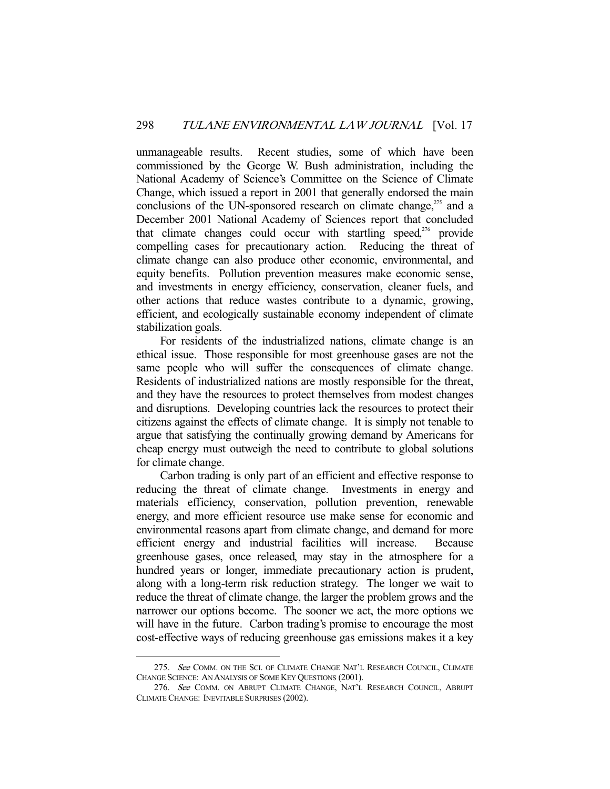unmanageable results. Recent studies, some of which have been commissioned by the George W. Bush administration, including the National Academy of Science's Committee on the Science of Climate Change, which issued a report in 2001 that generally endorsed the main conclusions of the UN-sponsored research on climate change, $275$  and a December 2001 National Academy of Sciences report that concluded that climate changes could occur with startling speed, $276$  provide compelling cases for precautionary action. Reducing the threat of climate change can also produce other economic, environmental, and equity benefits. Pollution prevention measures make economic sense, and investments in energy efficiency, conservation, cleaner fuels, and other actions that reduce wastes contribute to a dynamic, growing, efficient, and ecologically sustainable economy independent of climate stabilization goals.

 For residents of the industrialized nations, climate change is an ethical issue. Those responsible for most greenhouse gases are not the same people who will suffer the consequences of climate change. Residents of industrialized nations are mostly responsible for the threat, and they have the resources to protect themselves from modest changes and disruptions. Developing countries lack the resources to protect their citizens against the effects of climate change. It is simply not tenable to argue that satisfying the continually growing demand by Americans for cheap energy must outweigh the need to contribute to global solutions for climate change.

 Carbon trading is only part of an efficient and effective response to reducing the threat of climate change. Investments in energy and materials efficiency, conservation, pollution prevention, renewable energy, and more efficient resource use make sense for economic and environmental reasons apart from climate change, and demand for more efficient energy and industrial facilities will increase. Because greenhouse gases, once released, may stay in the atmosphere for a hundred years or longer, immediate precautionary action is prudent, along with a long-term risk reduction strategy. The longer we wait to reduce the threat of climate change, the larger the problem grows and the narrower our options become. The sooner we act, the more options we will have in the future. Carbon trading's promise to encourage the most cost-effective ways of reducing greenhouse gas emissions makes it a key

<sup>275.</sup> See COMM. ON THE SCI. OF CLIMATE CHANGE NAT'L RESEARCH COUNCIL, CLIMATE CHANGE SCIENCE: AN ANALYSIS OF SOME KEY QUESTIONS (2001).

 <sup>276.</sup> See COMM. ON ABRUPT CLIMATE CHANGE, NAT'L RESEARCH COUNCIL, ABRUPT CLIMATE CHANGE: INEVITABLE SURPRISES (2002).